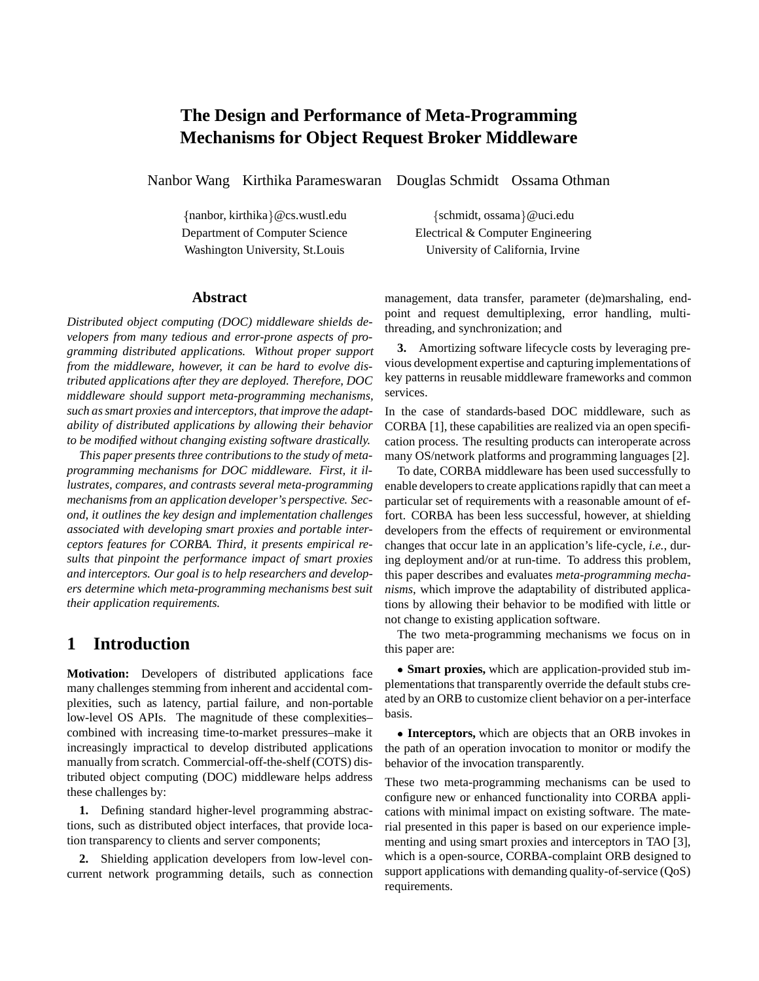# **The Design and Performance of Meta-Programming Mechanisms for Object Request Broker Middleware**

Nanbor Wang Kirthika Parameswaran Douglas Schmidt Ossama Othman

#### **Abstract**

*Distributed object computing (DOC) middleware shields developers from many tedious and error-prone aspects of programming distributed applications. Without proper support from the middleware, however, it can be hard to evolve distributed applications after they are deployed. Therefore, DOC middleware should support meta-programming mechanisms, such as smart proxies and interceptors, that improve the adaptability of distributed applications by allowing their behavior to be modified without changing existing software drastically.*

*This paper presents three contributions to the study of metaprogramming mechanisms for DOC middleware. First, it illustrates, compares, and contrasts several meta-programming mechanisms from an application developer's perspective. Second, it outlines the key design and implementation challenges associated with developing smart proxies and portable interceptors features for CORBA. Third, it presents empirical results that pinpoint the performance impact of smart proxies and interceptors. Our goal is to help researchers and developers determine which meta-programming mechanisms best suit their application requirements.*

## **1 Introduction**

**Motivation:** Developers of distributed applications face many challenges stemming from inherent and accidental complexities, such as latency, partial failure, and non-portable low-level OS APIs. The magnitude of these complexities– combined with increasing time-to-market pressures–make it increasingly impractical to develop distributed applications manually from scratch. Commercial-off-the-shelf (COTS) distributed object computing (DOC) middleware helps address these challenges by:

**1.** Defining standard higher-level programming abstractions, such as distributed object interfaces, that provide location transparency to clients and server components;

**2.** Shielding application developers from low-level concurrent network programming details, such as connection

{nanbor, kirthika}@cs.wustl.edu {schmidt, ossama}@uci.edu Department of Computer Science<br>
Electrical & Computer Engineering Washington University, St.Louis University of California, Irvine

> management, data transfer, parameter (de)marshaling, endpoint and request demultiplexing, error handling, multithreading, and synchronization; and

> **3.** Amortizing software lifecycle costs by leveraging previous development expertise and capturing implementations of key patterns in reusable middleware frameworks and common services.

> In the case of standards-based DOC middleware, such as CORBA [1], these capabilities are realized via an open specification process. The resulting products can interoperate across many OS/network platforms and programming languages [2].

> To date, CORBA middleware has been used successfully to enable developers to create applications rapidly that can meet a particular set of requirements with a reasonable amount of effort. CORBA has been less successful, however, at shielding developers from the effects of requirement or environmental changes that occur late in an application's life-cycle, *i.e.*, during deployment and/or at run-time. To address this problem, this paper describes and evaluates *meta-programming mechanisms*, which improve the adaptability of distributed applications by allowing their behavior to be modified with little or not change to existing application software.

> The two meta-programming mechanisms we focus on in this paper are:

> **Smart proxies,** which are application-provided stub implementations that transparently override the default stubs created by an ORB to customize client behavior on a per-interface basis.

> **Interceptors,** which are objects that an ORB invokes in the path of an operation invocation to monitor or modify the behavior of the invocation transparently.

> These two meta-programming mechanisms can be used to configure new or enhanced functionality into CORBA applications with minimal impact on existing software. The material presented in this paper is based on our experience implementing and using smart proxies and interceptors in TAO [3], which is a open-source, CORBA-complaint ORB designed to support applications with demanding quality-of-service (QoS) requirements.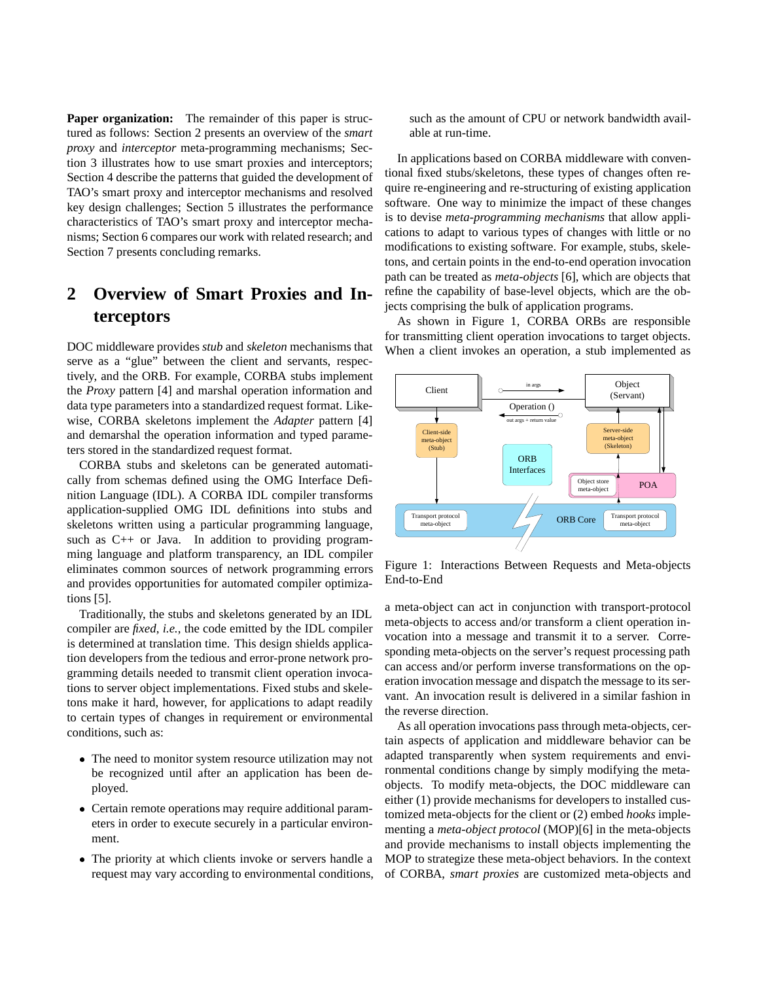**Paper organization:** The remainder of this paper is structured as follows: Section 2 presents an overview of the *smart proxy* and *interceptor* meta-programming mechanisms; Section 3 illustrates how to use smart proxies and interceptors; Section 4 describe the patterns that guided the development of TAO's smart proxy and interceptor mechanisms and resolved key design challenges; Section 5 illustrates the performance characteristics of TAO's smart proxy and interceptor mechanisms; Section 6 compares our work with related research; and Section 7 presents concluding remarks.

# **2 Overview of Smart Proxies and Interceptors**

DOC middleware provides *stub* and *skeleton* mechanisms that serve as a "glue" between the client and servants, respectively, and the ORB. For example, CORBA stubs implement the *Proxy* pattern [4] and marshal operation information and data type parameters into a standardized request format. Likewise, CORBA skeletons implement the *Adapter* pattern [4] and demarshal the operation information and typed parameters stored in the standardized request format.

CORBA stubs and skeletons can be generated automatically from schemas defined using the OMG Interface Definition Language (IDL). A CORBA IDL compiler transforms application-supplied OMG IDL definitions into stubs and skeletons written using a particular programming language, such as C++ or Java. In addition to providing programming language and platform transparency, an IDL compiler eliminates common sources of network programming errors and provides opportunities for automated compiler optimizations [5].

Traditionally, the stubs and skeletons generated by an IDL compiler are *fixed*, *i.e.*, the code emitted by the IDL compiler is determined at translation time. This design shields application developers from the tedious and error-prone network programming details needed to transmit client operation invocations to server object implementations. Fixed stubs and skeletons make it hard, however, for applications to adapt readily to certain types of changes in requirement or environmental conditions, such as:

- The need to monitor system resource utilization may not be recognized until after an application has been deployed.
- Certain remote operations may require additional parameters in order to execute securely in a particular environment.
- The priority at which clients invoke or servers handle a request may vary according to environmental conditions,

such as the amount of CPU or network bandwidth available at run-time.

In applications based on CORBA middleware with conventional fixed stubs/skeletons, these types of changes often require re-engineering and re-structuring of existing application software. One way to minimize the impact of these changes is to devise *meta-programming mechanisms* that allow applications to adapt to various types of changes with little or no modifications to existing software. For example, stubs, skeletons, and certain points in the end-to-end operation invocation path can be treated as *meta-objects* [6], which are objects that refine the capability of base-level objects, which are the objects comprising the bulk of application programs.

As shown in Figure 1, CORBA ORBs are responsible for transmitting client operation invocations to target objects. When a client invokes an operation, a stub implemented as



Figure 1: Interactions Between Requests and Meta-objects End-to-End

a meta-object can act in conjunction with transport-protocol meta-objects to access and/or transform a client operation invocation into a message and transmit it to a server. Corresponding meta-objects on the server's request processing path can access and/or perform inverse transformations on the operation invocation message and dispatch the message to its servant. An invocation result is delivered in a similar fashion in the reverse direction.

As all operation invocations pass through meta-objects, certain aspects of application and middleware behavior can be adapted transparently when system requirements and environmental conditions change by simply modifying the metaobjects. To modify meta-objects, the DOC middleware can either (1) provide mechanisms for developers to installed customized meta-objects for the client or (2) embed *hooks* implementing a *meta-object protocol* (MOP)[6] in the meta-objects and provide mechanisms to install objects implementing the MOP to strategize these meta-object behaviors. In the context of CORBA, *smart proxies* are customized meta-objects and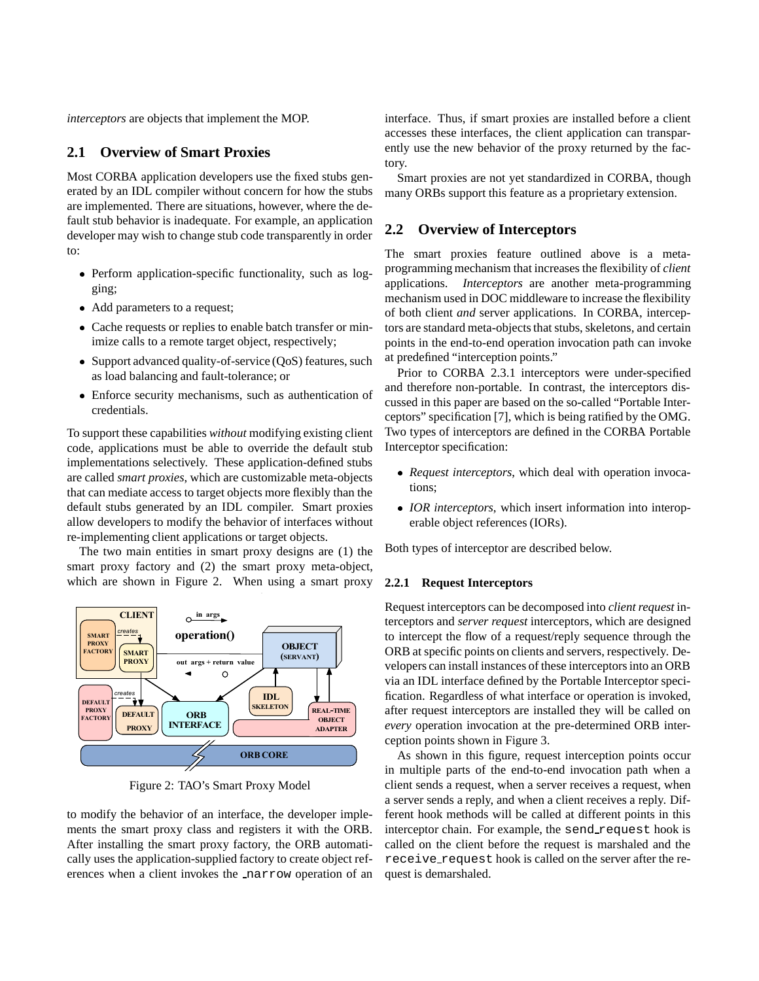*interceptors* are objects that implement the MOP.

### **2.1 Overview of Smart Proxies**

Most CORBA application developers use the fixed stubs generated by an IDL compiler without concern for how the stubs are implemented. There are situations, however, where the default stub behavior is inadequate. For example, an application developer may wish to change stub code transparently in order to:

- Perform application-specific functionality, such as logging;
- Add parameters to a request;
- Cache requests or replies to enable batch transfer or minimize calls to a remote target object, respectively;
- Support advanced quality-of-service (QoS) features, such as load balancing and fault-tolerance; or
- Enforce security mechanisms, such as authentication of credentials.

To support these capabilities *without* modifying existing client code, applications must be able to override the default stub implementations selectively. These application-defined stubs are called *smart proxies*, which are customizable meta-objects that can mediate access to target objects more flexibly than the default stubs generated by an IDL compiler. Smart proxies allow developers to modify the behavior of interfaces without re-implementing client applications or target objects.

The two main entities in smart proxy designs are (1) the smart proxy factory and (2) the smart proxy meta-object, which are shown in Figure 2. When using a smart proxy



Figure 2: TAO's Smart Proxy Model

to modify the behavior of an interface, the developer implements the smart proxy class and registers it with the ORB. After installing the smart proxy factory, the ORB automatically uses the application-supplied factory to create object references when a client invokes the narrow operation of an interface. Thus, if smart proxies are installed before a client accesses these interfaces, the client application can transparently use the new behavior of the proxy returned by the factory.

Smart proxies are not yet standardized in CORBA, though many ORBs support this feature as a proprietary extension.

### **2.2 Overview of Interceptors**

The smart proxies feature outlined above is a metaprogramming mechanism that increases the flexibility of *client* applications. *Interceptors* are another meta-programming mechanism used in DOC middleware to increase the flexibility of both client *and* server applications. In CORBA, interceptors are standard meta-objects that stubs, skeletons, and certain points in the end-to-end operation invocation path can invoke at predefined "interception points."

Prior to CORBA 2.3.1 interceptors were under-specified and therefore non-portable. In contrast, the interceptors discussed in this paper are based on the so-called "Portable Interceptors" specification [7], which is being ratified by the OMG. Two types of interceptors are defined in the CORBA Portable Interceptor specification:

- *Request interceptors*, which deal with operation invocations;
- *IOR interceptors*, which insert information into interoperable object references (IORs).

Both types of interceptor are described below.

#### **2.2.1 Request Interceptors**

Request interceptors can be decomposed into *client request* interceptors and *server request* interceptors, which are designed to intercept the flow of a request/reply sequence through the ORB at specific points on clients and servers, respectively. Developers can install instances of these interceptors into an ORB via an IDL interface defined by the Portable Interceptor specification. Regardless of what interface or operation is invoked, after request interceptors are installed they will be called on *every* operation invocation at the pre-determined ORB interception points shown in Figure 3.

As shown in this figure, request interception points occur in multiple parts of the end-to-end invocation path when a client sends a request, when a server receives a request, when a server sends a reply, and when a client receives a reply. Different hook methods will be called at different points in this interceptor chain. For example, the send request hook is called on the client before the request is marshaled and the receive request hook is called on the server after the request is demarshaled.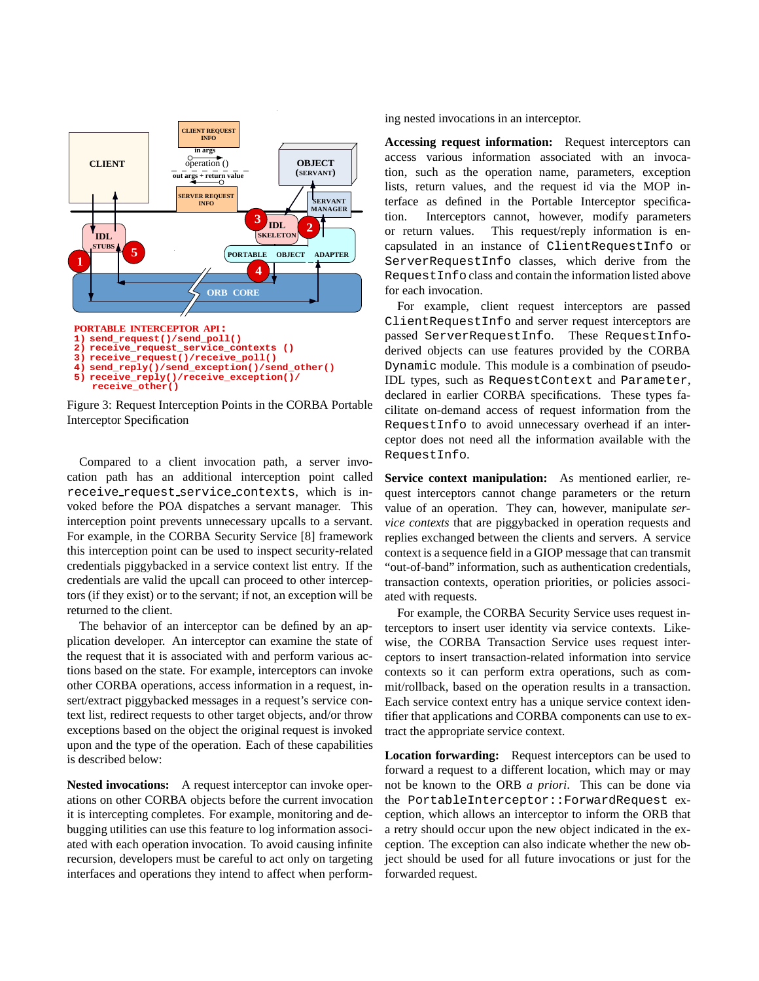

Figure 3: Request Interception Points in the CORBA Portable Interceptor Specification

Compared to a client invocation path, a server invocation path has an additional interception point called receive request service contexts, which is invoked before the POA dispatches a servant manager. This interception point prevents unnecessary upcalls to a servant. For example, in the CORBA Security Service [8] framework this interception point can be used to inspect security-related credentials piggybacked in a service context list entry. If the credentials are valid the upcall can proceed to other interceptors (if they exist) or to the servant; if not, an exception will be returned to the client.

The behavior of an interceptor can be defined by an application developer. An interceptor can examine the state of the request that it is associated with and perform various actions based on the state. For example, interceptors can invoke other CORBA operations, access information in a request, insert/extract piggybacked messages in a request's service context list, redirect requests to other target objects, and/or throw exceptions based on the object the original request is invoked upon and the type of the operation. Each of these capabilities is described below:

**Nested invocations:** A request interceptor can invoke operations on other CORBA objects before the current invocation it is intercepting completes. For example, monitoring and debugging utilities can use this feature to log information associated with each operation invocation. To avoid causing infinite recursion, developers must be careful to act only on targeting interfaces and operations they intend to affect when performing nested invocations in an interceptor.

**Accessing request information:** Request interceptors can access various information associated with an invocation, such as the operation name, parameters, exception lists, return values, and the request id via the MOP interface as defined in the Portable Interceptor specification. Interceptors cannot, however, modify parameters or return values. This request/reply information is encapsulated in an instance of ClientRequestInfo or ServerRequestInfo classes, which derive from the RequestInfo class and contain the information listed above for each invocation.

For example, client request interceptors are passed ClientRequestInfo and server request interceptors are passed ServerRequestInfo. These RequestInfoderived objects can use features provided by the CORBA Dynamic module. This module is a combination of pseudo-IDL types, such as RequestContext and Parameter, declared in earlier CORBA specifications. These types facilitate on-demand access of request information from the RequestInfo to avoid unnecessary overhead if an interceptor does not need all the information available with the RequestInfo.

**Service context manipulation:** As mentioned earlier, request interceptors cannot change parameters or the return value of an operation. They can, however, manipulate *service contexts* that are piggybacked in operation requests and replies exchanged between the clients and servers. A service context is a sequence field in a GIOP message that can transmit "out-of-band" information, such as authentication credentials, transaction contexts, operation priorities, or policies associated with requests.

For example, the CORBA Security Service uses request interceptors to insert user identity via service contexts. Likewise, the CORBA Transaction Service uses request interceptors to insert transaction-related information into service contexts so it can perform extra operations, such as commit/rollback, based on the operation results in a transaction. Each service context entry has a unique service context identifier that applications and CORBA components can use to extract the appropriate service context.

**Location forwarding:** Request interceptors can be used to forward a request to a different location, which may or may not be known to the ORB *a priori*. This can be done via the PortableInterceptor::ForwardRequest exception, which allows an interceptor to inform the ORB that a retry should occur upon the new object indicated in the exception. The exception can also indicate whether the new object should be used for all future invocations or just for the forwarded request.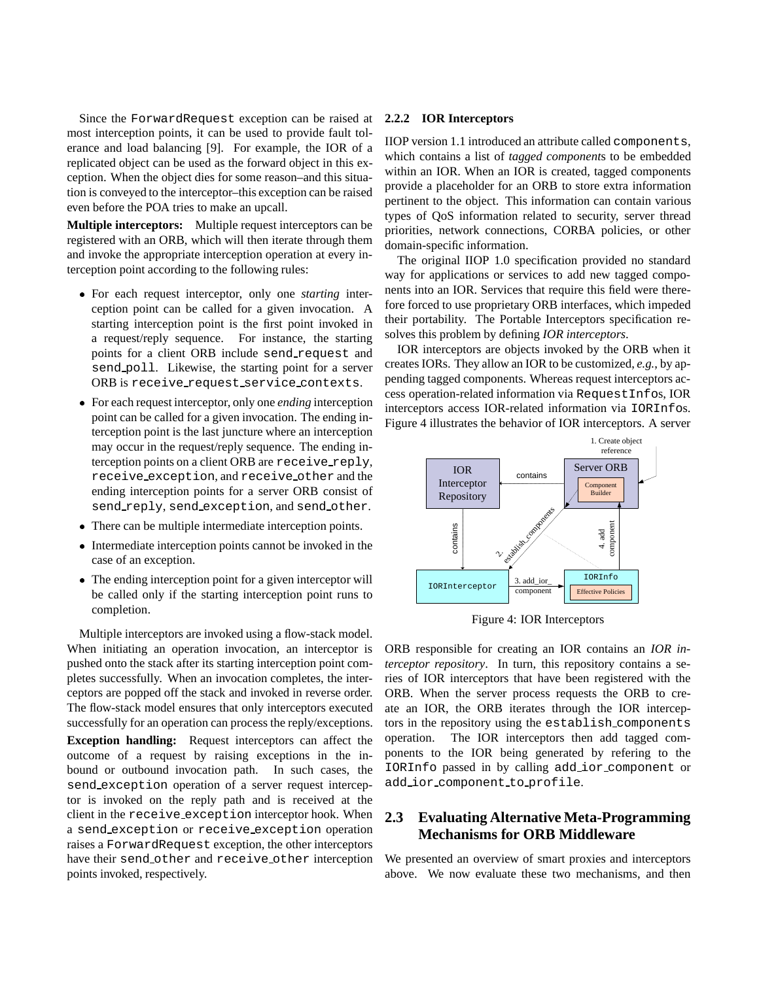Since the ForwardRequest exception can be raised at most interception points, it can be used to provide fault tolerance and load balancing [9]. For example, the IOR of a replicated object can be used as the forward object in this exception. When the object dies for some reason–and this situation is conveyed to the interceptor–this exception can be raised even before the POA tries to make an upcall.

**Multiple interceptors:** Multiple request interceptors can be registered with an ORB, which will then iterate through them and invoke the appropriate interception operation at every interception point according to the following rules:

- For each request interceptor, only one *starting* interception point can be called for a given invocation. A starting interception point is the first point invoked in a request/reply sequence. For instance, the starting points for a client ORB include send request and send poll. Likewise, the starting point for a server ORB is receive request service contexts.
- For each request interceptor, only one *ending* interception point can be called for a given invocation. The ending interception point is the last juncture where an interception may occur in the request/reply sequence. The ending interception points on a client ORB are receive reply, receive exception, and receive other and the ending interception points for a server ORB consist of send reply, send exception, and send other.
- There can be multiple intermediate interception points.
- Intermediate interception points cannot be invoked in the case of an exception.
- The ending interception point for a given interceptor will be called only if the starting interception point runs to completion.

Multiple interceptors are invoked using a flow-stack model. When initiating an operation invocation, an interceptor is pushed onto the stack after its starting interception point completes successfully. When an invocation completes, the interceptors are popped off the stack and invoked in reverse order. The flow-stack model ensures that only interceptors executed successfully for an operation can process the reply/exceptions.

**Exception handling:** Request interceptors can affect the outcome of a request by raising exceptions in the inbound or outbound invocation path. In such cases, the send exception operation of a server request interceptor is invoked on the reply path and is received at the client in the receive exception interceptor hook. When a send exception or receive exception operation raises a ForwardRequest exception, the other interceptors have their send other and receive other interception points invoked, respectively.

#### **2.2.2 IOR Interceptors**

IIOP version 1.1 introduced an attribute called components, which contains a list of *tagged component*s to be embedded within an IOR. When an IOR is created, tagged components provide a placeholder for an ORB to store extra information pertinent to the object. This information can contain various types of QoS information related to security, server thread priorities, network connections, CORBA policies, or other domain-specific information.

The original IIOP 1.0 specification provided no standard way for applications or services to add new tagged components into an IOR. Services that require this field were therefore forced to use proprietary ORB interfaces, which impeded their portability. The Portable Interceptors specification resolves this problem by defining *IOR interceptors*.

IOR interceptors are objects invoked by the ORB when it creates IORs. They allow an IOR to be customized, *e.g.*, by appending tagged components. Whereas request interceptors access operation-related information via RequestInfos, IOR interceptors access IOR-related information via IORInfos. Figure 4 illustrates the behavior of IOR interceptors. A server



Figure 4: IOR Interceptors

ORB responsible for creating an IOR contains an *IOR interceptor repository*. In turn, this repository contains a series of IOR interceptors that have been registered with the ORB. When the server process requests the ORB to create an IOR, the ORB iterates through the IOR interceptors in the repository using the establish components operation. The IOR interceptors then add tagged components to the IOR being generated by refering to the IORInfo passed in by calling add ior component or add ior component to profile.

## **2.3 Evaluating Alternative Meta-Programming Mechanisms for ORB Middleware**

We presented an overview of smart proxies and interceptors above. We now evaluate these two mechanisms, and then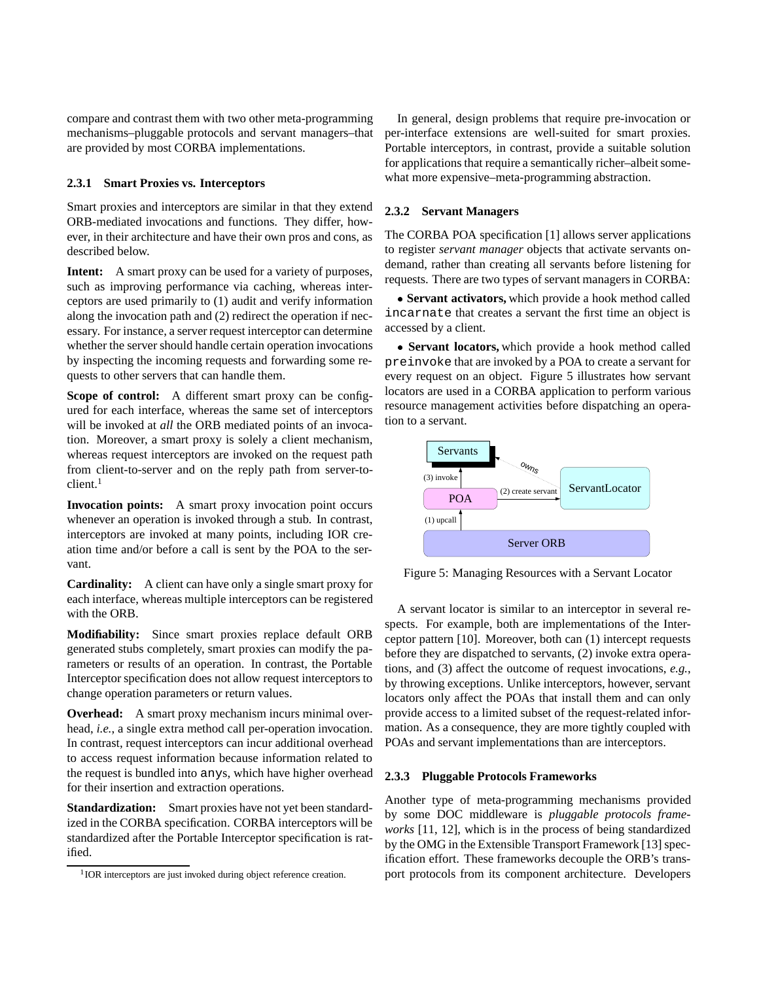compare and contrast them with two other meta-programming mechanisms–pluggable protocols and servant managers–that are provided by most CORBA implementations.

#### **2.3.1 Smart Proxies vs. Interceptors**

Smart proxies and interceptors are similar in that they extend ORB-mediated invocations and functions. They differ, however, in their architecture and have their own pros and cons, as described below.

**Intent:** A smart proxy can be used for a variety of purposes, such as improving performance via caching, whereas interceptors are used primarily to (1) audit and verify information along the invocation path and (2) redirect the operation if necessary. For instance, a server request interceptor can determine whether the server should handle certain operation invocations by inspecting the incoming requests and forwarding some requests to other servers that can handle them.

**Scope of control:** A different smart proxy can be configured for each interface, whereas the same set of interceptors will be invoked at *all* the ORB mediated points of an invocation. Moreover, a smart proxy is solely a client mechanism, whereas request interceptors are invoked on the request path from client-to-server and on the reply path from server-to $client.<sup>1</sup>$ 

**Invocation points:** A smart proxy invocation point occurs whenever an operation is invoked through a stub. In contrast, interceptors are invoked at many points, including IOR creation time and/or before a call is sent by the POA to the servant.

**Cardinality:** A client can have only a single smart proxy for each interface, whereas multiple interceptors can be registered with the ORB.

**Modifiability:** Since smart proxies replace default ORB generated stubs completely, smart proxies can modify the parameters or results of an operation. In contrast, the Portable Interceptor specification does not allow request interceptors to change operation parameters or return values.

**Overhead:** A smart proxy mechanism incurs minimal overhead, *i.e.*, a single extra method call per-operation invocation. In contrast, request interceptors can incur additional overhead to access request information because information related to the request is bundled into anys, which have higher overhead for their insertion and extraction operations.

**Standardization:** Smart proxies have not yet been standardized in the CORBA specification. CORBA interceptors will be standardized after the Portable Interceptor specification is ratified.

In general, design problems that require pre-invocation or per-interface extensions are well-suited for smart proxies. Portable interceptors, in contrast, provide a suitable solution for applications that require a semantically richer–albeit somewhat more expensive–meta-programming abstraction.

#### **2.3.2 Servant Managers**

The CORBA POA specification [1] allows server applications to register *servant manager* objects that activate servants ondemand, rather than creating all servants before listening for requests. There are two types of servant managers in CORBA:

 **Servant activators,** which provide a hook method called incarnate that creates a servant the first time an object is accessed by a client.

 **Servant locators,** which provide a hook method called preinvoke that are invoked by a POA to create a servant for every request on an object. Figure 5 illustrates how servant locators are used in a CORBA application to perform various resource management activities before dispatching an operation to a servant.



Figure 5: Managing Resources with a Servant Locator

A servant locator is similar to an interceptor in several respects. For example, both are implementations of the Interceptor pattern [10]. Moreover, both can (1) intercept requests before they are dispatched to servants, (2) invoke extra operations, and (3) affect the outcome of request invocations, *e.g.*, by throwing exceptions. Unlike interceptors, however, servant locators only affect the POAs that install them and can only provide access to a limited subset of the request-related information. As a consequence, they are more tightly coupled with POAs and servant implementations than are interceptors.

#### **2.3.3 Pluggable Protocols Frameworks**

Another type of meta-programming mechanisms provided by some DOC middleware is *pluggable protocols frameworks* [11, 12], which is in the process of being standardized by the OMG in the Extensible Transport Framework [13] specification effort. These frameworks decouple the ORB's transport protocols from its component architecture. Developers

<sup>&</sup>lt;sup>1</sup> IOR interceptors are just invoked during object reference creation.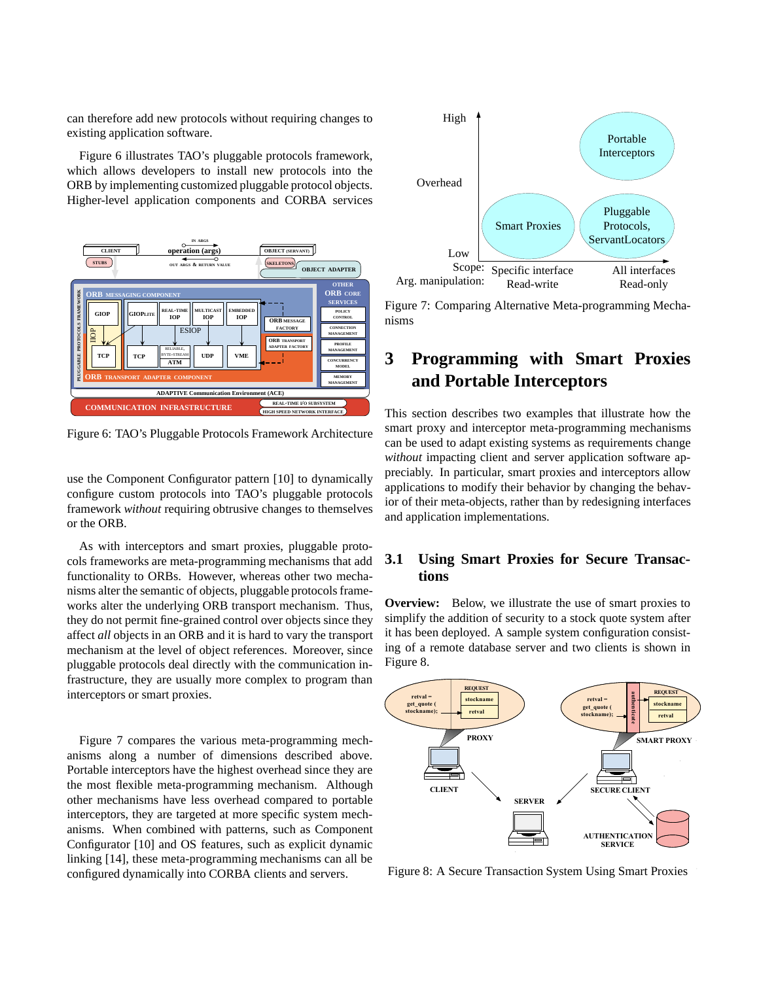can therefore add new protocols without requiring changes to existing application software.

Figure 6 illustrates TAO's pluggable protocols framework, which allows developers to install new protocols into the ORB by implementing customized pluggable protocol objects. Higher-level application components and CORBA services



Figure 6: TAO's Pluggable Protocols Framework Architecture

use the Component Configurator pattern [10] to dynamically configure custom protocols into TAO's pluggable protocols framework *without* requiring obtrusive changes to themselves or the ORB.

As with interceptors and smart proxies, pluggable protocols frameworks are meta-programming mechanisms that add functionality to ORBs. However, whereas other two mechanisms alter the semantic of objects, pluggable protocols frameworks alter the underlying ORB transport mechanism. Thus, they do not permit fine-grained control over objects since they affect *all* objects in an ORB and it is hard to vary the transport mechanism at the level of object references. Moreover, since pluggable protocols deal directly with the communication infrastructure, they are usually more complex to program than interceptors or smart proxies.

Figure 7 compares the various meta-programming mechanisms along a number of dimensions described above. Portable interceptors have the highest overhead since they are the most flexible meta-programming mechanism. Although other mechanisms have less overhead compared to portable interceptors, they are targeted at more specific system mechanisms. When combined with patterns, such as Component Configurator [10] and OS features, such as explicit dynamic linking [14], these meta-programming mechanisms can all be configured dynamically into CORBA clients and servers.



Figure 7: Comparing Alternative Meta-programming Mechanisms

# **3 Programming with Smart Proxies and Portable Interceptors**

This section describes two examples that illustrate how the smart proxy and interceptor meta-programming mechanisms can be used to adapt existing systems as requirements change *without* impacting client and server application software appreciably. In particular, smart proxies and interceptors allow applications to modify their behavior by changing the behavior of their meta-objects, rather than by redesigning interfaces and application implementations.

## **3.1 Using Smart Proxies for Secure Transactions**

**Overview:** Below, we illustrate the use of smart proxies to simplify the addition of security to a stock quote system after it has been deployed. A sample system configuration consisting of a remote database server and two clients is shown in Figure 8.



Figure 8: A Secure Transaction System Using Smart Proxies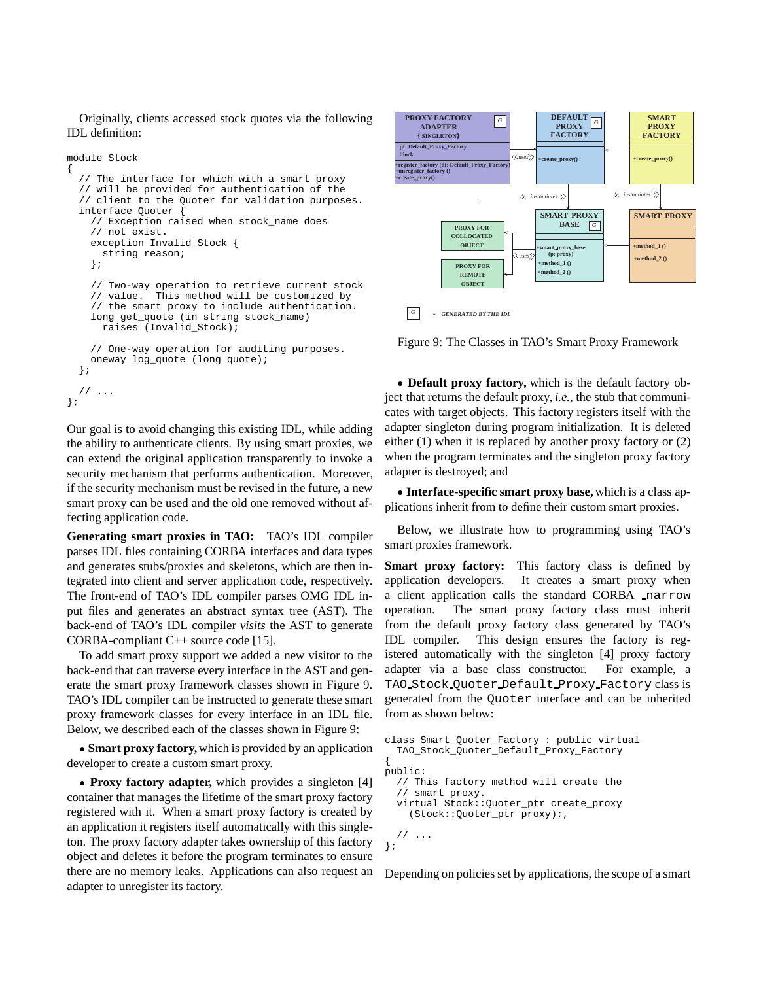Originally, clients accessed stock quotes via the following IDL definition:

```
module Stock
{
  // The interface for which with a smart proxy
  // will be provided for authentication of the
  // client to the Quoter for validation purposes.
  interface Quoter {
    // Exception raised when stock_name does
    // not exist.
    exception Invalid_Stock {
      string reason;
    };
    // Two-way operation to retrieve current stock
    // value. This method will be customized by
    // the smart proxy to include authentication.
    long get_quote (in string stock_name)
      raises (Invalid_Stock);
    // One-way operation for auditing purposes.
    oneway log_quote (long quote);
  };
  // ...
};
```
Our goal is to avoid changing this existing IDL, while adding the ability to authenticate clients. By using smart proxies, we can extend the original application transparently to invoke a security mechanism that performs authentication. Moreover, if the security mechanism must be revised in the future, a new smart proxy can be used and the old one removed without affecting application code.

**Generating smart proxies in TAO:** TAO's IDL compiler parses IDL files containing CORBA interfaces and data types and generates stubs/proxies and skeletons, which are then integrated into client and server application code, respectively. The front-end of TAO's IDL compiler parses OMG IDL input files and generates an abstract syntax tree (AST). The back-end of TAO's IDL compiler *visits* the AST to generate CORBA-compliant C++ source code [15].

To add smart proxy support we added a new visitor to the back-end that can traverse every interface in the AST and generate the smart proxy framework classes shown in Figure 9. TAO's IDL compiler can be instructed to generate these smart proxy framework classes for every interface in an IDL file. Below, we described each of the classes shown in Figure 9:

 **Smart proxy factory,**which is provided by an application developer to create a custom smart proxy.

 **Proxy factory adapter,** which provides a singleton [4] container that manages the lifetime of the smart proxy factory registered with it. When a smart proxy factory is created by an application it registers itself automatically with this singleton. The proxy factory adapter takes ownership of this factory object and deletes it before the program terminates to ensure there are no memory leaks. Applications can also request an adapter to unregister its factory.



Figure 9: The Classes in TAO's Smart Proxy Framework

 **Default proxy factory,** which is the default factory object that returns the default proxy, *i.e.*, the stub that communicates with target objects. This factory registers itself with the adapter singleton during program initialization. It is deleted either (1) when it is replaced by another proxy factory or (2) when the program terminates and the singleton proxy factory adapter is destroyed; and

 **Interface-specific smart proxy base,** which is a class applications inherit from to define their custom smart proxies.

Below, we illustrate how to programming using TAO's smart proxies framework.

**Smart proxy factory:** This factory class is defined by application developers. It creates a smart proxy when a client application calls the standard CORBA narrow operation. The smart proxy factory class must inherit from the default proxy factory class generated by TAO's IDL compiler. This design ensures the factory is registered automatically with the singleton [4] proxy factory adapter via a base class constructor. For example, a TAO Stock Quoter Default Proxy Factory class is generated from the Quoter interface and can be inherited from as shown below:

```
class Smart_Quoter_Factory : public virtual
  TAO_Stock_Quoter_Default_Proxy_Factory
{
public:
  // This factory method will create the
  // smart proxy.
  virtual Stock::Quoter_ptr create_proxy
    (Stock::Quoter_ptr proxy);,
  // ...
};
```
Depending on policies set by applications, the scope of a smart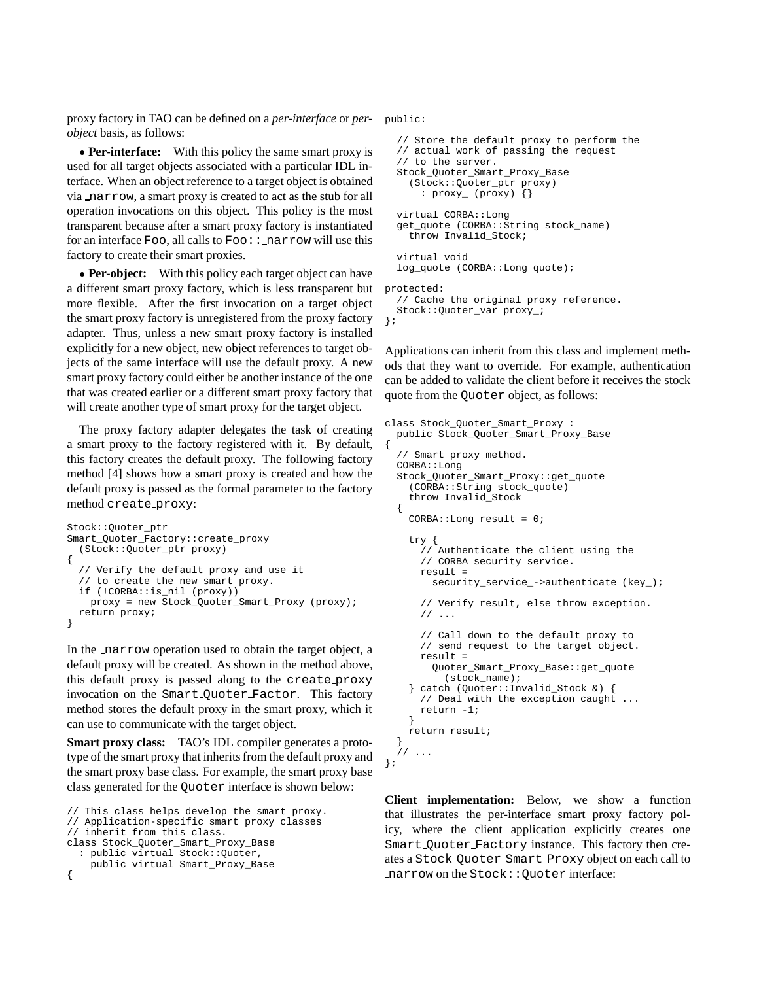proxy factory in TAO can be defined on a *per-interface* or *per-*public: *object* basis, as follows:

• **Per-interface:** With this policy the same smart proxy is used for all target objects associated with a particular IDL interface. When an object reference to a target object is obtained via narrow, a smart proxy is created to act as the stub for all operation invocations on this object. This policy is the most transparent because after a smart proxy factory is instantiated for an interface Foo, all calls to  $\texttt{FoO}$ :  $\texttt{.}$  narrow will use this factory to create their smart proxies.

• **Per-object:** With this policy each target object can have a different smart proxy factory, which is less transparent but more flexible. After the first invocation on a target object the smart proxy factory is unregistered from the proxy factory adapter. Thus, unless a new smart proxy factory is installed explicitly for a new object, new object references to target objects of the same interface will use the default proxy. A new smart proxy factory could either be another instance of the one that was created earlier or a different smart proxy factory that will create another type of smart proxy for the target object.

The proxy factory adapter delegates the task of creating a smart proxy to the factory registered with it. By default, this factory creates the default proxy. The following factory method [4] shows how a smart proxy is created and how the default proxy is passed as the formal parameter to the factory method create proxy:

```
Stock::Quoter_ptr
Smart_Quoter_Factory::create_proxy
  (Stock::Quoter_ptr proxy)
{
  // Verify the default proxy and use it
   // to create the new smart proxy.
  if (!CORBA::is_nil (proxy))
    proxy = new Stock_Quoter_Smart_Proxy (proxy);
  return proxy;
}
```
In the narrow operation used to obtain the target object, a default proxy will be created. As shown in the method above, this default proxy is passed along to the create proxy invocation on the Smart Quoter Factor. This factory method stores the default proxy in the smart proxy, which it can use to communicate with the target object.

**Smart proxy class:** TAO's IDL compiler generates a prototype of the smart proxy that inherits from the default proxy and the smart proxy base class. For example, the smart proxy base class generated for the Quoter interface is shown below:

```
// This class helps develop the smart proxy.
// Application-specific smart proxy classes
// inherit from this class.
class Stock_Quoter_Smart_Proxy_Base
  : public virtual Stock::Quoter,
   public virtual Smart_Proxy_Base
{
```

```
// Store the default proxy to perform the
  // actual work of passing the request
  // to the server.
  Stock_Quoter_Smart_Proxy_Base
    (Stock::Quoter_ptr proxy)
      : proxy_ (proxy) {}
  virtual CORBA::Long
  get_quote (CORBA::String stock_name)
    throw Invalid Stock;
  virtual void
  log_quote (CORBA::Long quote);
protected:
  // Cache the original proxy reference.
  Stock::Quoter_var proxy_;
};
```
Applications can inherit from this class and implement methods that they want to override. For example, authentication can be added to validate the client before it receives the stock quote from the Quoter object, as follows:

```
class Stock_Quoter_Smart_Proxy :
 public Stock_Quoter_Smart_Proxy_Base
{
  // Smart proxy method.
  CORBA::Long
  Stock_Quoter_Smart_Proxy::get_quote
    (CORBA::String stock_quote)
    throw Invalid_Stock
  {
    CORBA::Long result = 0;
    try {
      // Authenticate the client using the
      // CORBA security service.
      result =
        security service ->authenticate (key );
      // Verify result, else throw exception.
      // \,\ldots\,// Call down to the default proxy to
      // send request to the target object.
      result =
        Quoter_Smart_Proxy_Base::get_quote
          (stock_name);
    } catch (Quoter::Invalid_Stock &) {
      // Deal with the exception caught ...
      return -1;
    }
    return result;
  }
  // ...
};
```
**Client implementation:** Below, we show a function that illustrates the per-interface smart proxy factory policy, where the client application explicitly creates one Smart Quoter Factory instance. This factory then creates a Stock Quoter Smart Proxy object on each call to narrow on the Stock::Quoter interface: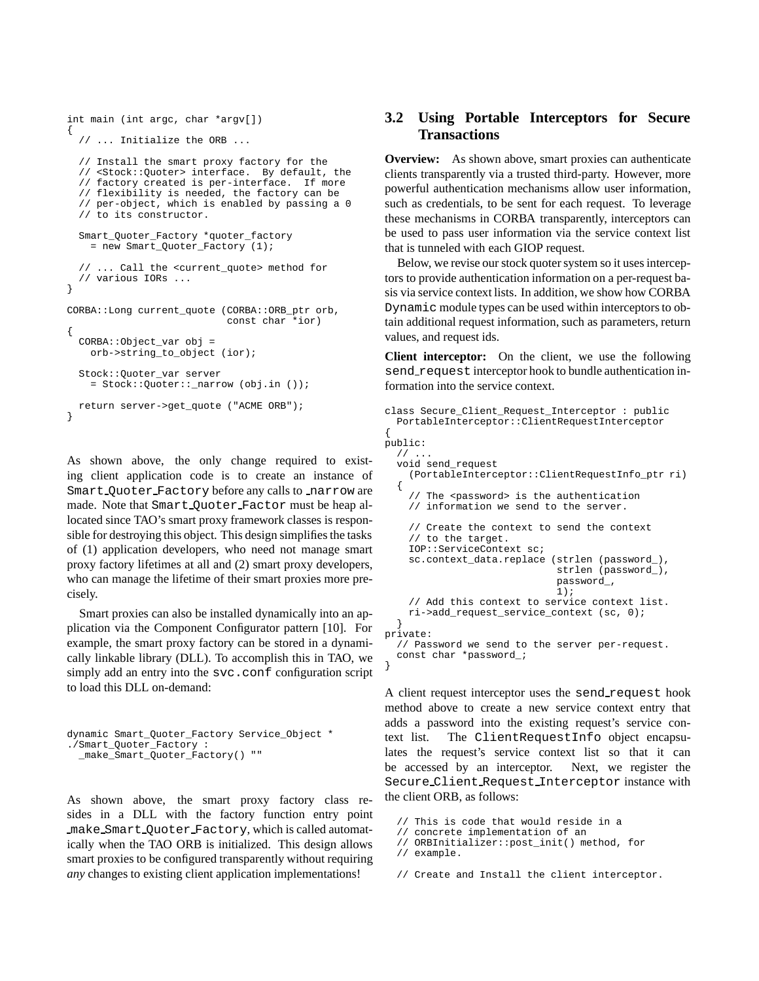```
int main (int argc, char *argv[])
{
  // ... Initialize the ORB ...
  // Install the smart proxy factory for the
  // <Stock::Quoter> interface. By default, the
  // factory created is per-interface. If more
  // flexibility is needed, the factory can be
  // per-object, which is enabled by passing a 0
  // to its constructor.
  Smart Quoter Factory *quoter factory
    = new Smart_Quoter_Factory (1);
  // ... Call the <current_quote> method for
  // various IORs ...
}
CORBA::Long current_quote (CORBA::ORB_ptr orb,
                           const char *ior)
{
 CORBA::Object_var obj =
    orb->string_to_object (ior);
  Stock:: Ouoter_var server
    = Stock::Quoter::_narrow (obj.in ());
 return server->get_quote ("ACME ORB");
}
```
As shown above, the only change required to existing client application code is to create an instance of Smart Ouoter Factory before any calls to narrow are made. Note that Smart Quoter Factor must be heap allocated since TAO's smart proxy framework classes is responsible for destroying this object. This design simplifies the tasks of (1) application developers, who need not manage smart proxy factory lifetimes at all and (2) smart proxy developers, who can manage the lifetime of their smart proxies more precisely.

Smart proxies can also be installed dynamically into an application via the Component Configurator pattern [10]. For example, the smart proxy factory can be stored in a dynamically linkable library (DLL). To accomplish this in TAO, we simply add an entry into the svc.conf configuration script to load this DLL on-demand:

```
dynamic Smart_Quoter_Factory Service_Object *
./Smart_Quoter_Factory :
 _make_Smart_Quoter_Factory() ""
```
As shown above, the smart proxy factory class resides in a DLL with the factory function entry point make Smart Quoter Factory, which is called automatically when the TAO ORB is initialized. This design allows smart proxies to be configured transparently without requiring *any* changes to existing client application implementations!

## **3.2 Using Portable Interceptors for Secure Transactions**

**Overview:** As shown above, smart proxies can authenticate clients transparently via a trusted third-party. However, more powerful authentication mechanisms allow user information, such as credentials, to be sent for each request. To leverage these mechanisms in CORBA transparently, interceptors can be used to pass user information via the service context list that is tunneled with each GIOP request.

Below, we revise our stock quoter system so it uses interceptors to provide authentication information on a per-request basis via service context lists. In addition, we show how CORBA Dynamic module types can be used within interceptors to obtain additional request information, such as parameters, return values, and request ids.

**Client interceptor:** On the client, we use the following send request interceptor hook to bundle authentication information into the service context.

```
class Secure_Client_Request_Interceptor : public
  PortableInterceptor::ClientRequestInterceptor
{
public:
  \frac{1}{2}.
  void send_request
    (PortableInterceptor::ClientRequestInfo_ptr ri)
  {
    // The <password> is the authentication
    // information we send to the server.
    // Create the context to send the context
    // to the target.
    IOP::ServiceContext sc;
    sc.context_data.replace (strlen (password_),
                              strlen (password_),
                              password_,
                              1);
    // Add this context to service context list.
    ri->add_request_service_context (sc, 0);
  }
private:
  // Password we send to the server per-request.
  const char *password_;
}
```
A client request interceptor uses the send request hook method above to create a new service context entry that adds a password into the existing request's service context list. The ClientRequestInfo object encapsulates the request's service context list so that it can be accessed by an interceptor. Next, we register the Secure Client Request Interceptor instance with the client ORB, as follows:

```
// This is code that would reside in a
```

```
// concrete implementation of an
```

```
// ORBInitializer::post_init() method, for
```

```
// example.
```
// Create and Install the client interceptor.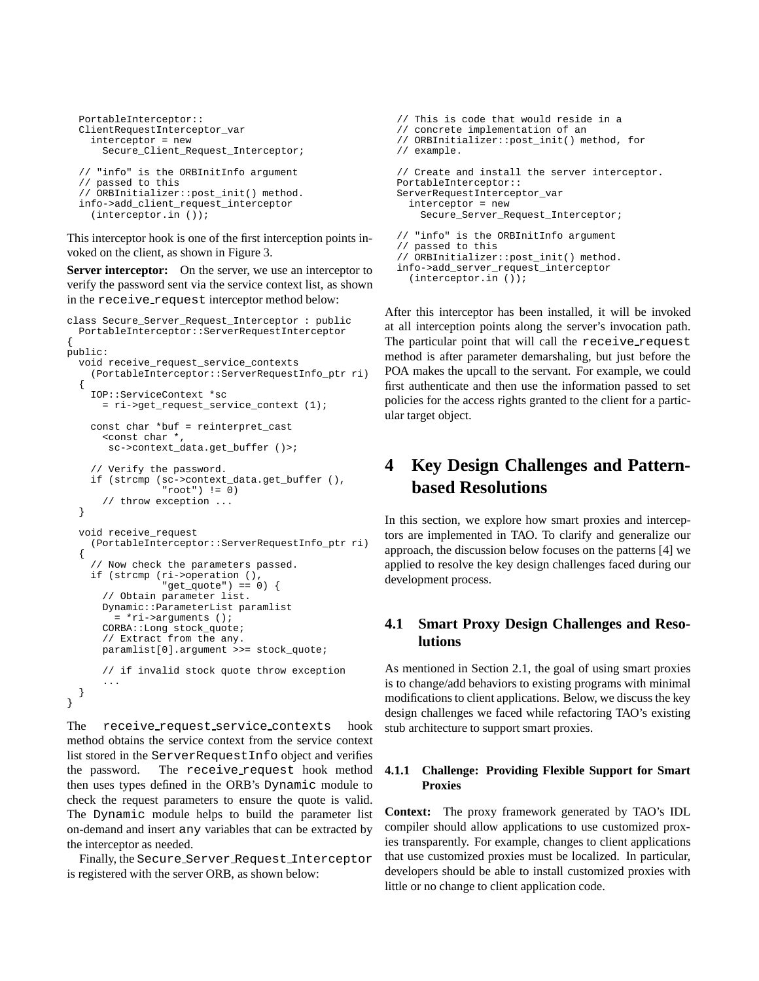```
PortableInterceptor::
ClientRequestInterceptor_var
  interceptor = new
    Secure_Client_Request_Interceptor;
// "info" is the ORBInitInfo argument
// passed to this
// ORBInitializer::post_init() method.
info->add_client_request_interceptor
```
(interceptor.in ());

This interceptor hook is one of the first interception points invoked on the client, as shown in Figure 3.

**Server interceptor:** On the server, we use an interceptor to verify the password sent via the service context list, as shown in the receive request interceptor method below:

```
class Secure Server Request Interceptor : public
  PortableInterceptor::ServerRequestInterceptor
{
public:
  void receive_request_service_contexts
    (PortableInterceptor::ServerRequestInfo_ptr ri)
  {
    IOP::ServiceContext *sc
      = ri->get_request_service_context (1);
    const char *buf = reinterpret_cast
      \tt< const char ^\starsc->context_data.get_buffer ()>;
    // Verify the password.
    if (strcmp (sc->context_data.get_buffer (),
                "root") != 0)
      // throw exception ...
  }
  void receive_request
    (PortableInterceptor::ServerRequestInfo_ptr ri)
  {
    // Now check the parameters passed.
    if (strcmp (ri->operation (),
                "get_quote") == 0)
      // Obtain parameter list.
      Dynamic::ParameterList paramlist
        = *ri->arguments ();
      CORBA::Long stock_quote;
      // Extract from the any.
      paramlist[0].argument >>= stock_quote;
      // if invalid stock quote throw exception
      ...
 }
}
```
The receive request service contexts hook method obtains the service context from the service context list stored in the ServerRequestInfo object and verifies the password. The receive request hook method then uses types defined in the ORB's Dynamic module to check the request parameters to ensure the quote is valid. The Dynamic module helps to build the parameter list on-demand and insert any variables that can be extracted by the interceptor as needed.

Finally, the Secure Server Request Interceptor is registered with the server ORB, as shown below:

```
// This is code that would reside in a
// concrete implementation of an
// ORBInitializer::post_init() method, for
// example.
// Create and install the server interceptor.
PortableInterceptor::
ServerRequestInterceptor_var
  interceptor = new
    Secure_Server_Request_Interceptor;
// "info" is the ORBInitInfo argument
// passed to this
// ORBInitializer::post_init() method.
info->add_server_request_interceptor
```
(interceptor.in ());

After this interceptor has been installed, it will be invoked at all interception points along the server's invocation path. The particular point that will call the receive request method is after parameter demarshaling, but just before the POA makes the upcall to the servant. For example, we could first authenticate and then use the information passed to set policies for the access rights granted to the client for a particular target object.

# **4 Key Design Challenges and Patternbased Resolutions**

In this section, we explore how smart proxies and interceptors are implemented in TAO. To clarify and generalize our approach, the discussion below focuses on the patterns [4] we applied to resolve the key design challenges faced during our development process.

## **4.1 Smart Proxy Design Challenges and Resolutions**

As mentioned in Section 2.1, the goal of using smart proxies is to change/add behaviors to existing programs with minimal modifications to client applications. Below, we discuss the key design challenges we faced while refactoring TAO's existing stub architecture to support smart proxies.

#### **4.1.1 Challenge: Providing Flexible Support for Smart Proxies**

**Context:** The proxy framework generated by TAO's IDL compiler should allow applications to use customized proxies transparently. For example, changes to client applications that use customized proxies must be localized. In particular, developers should be able to install customized proxies with little or no change to client application code.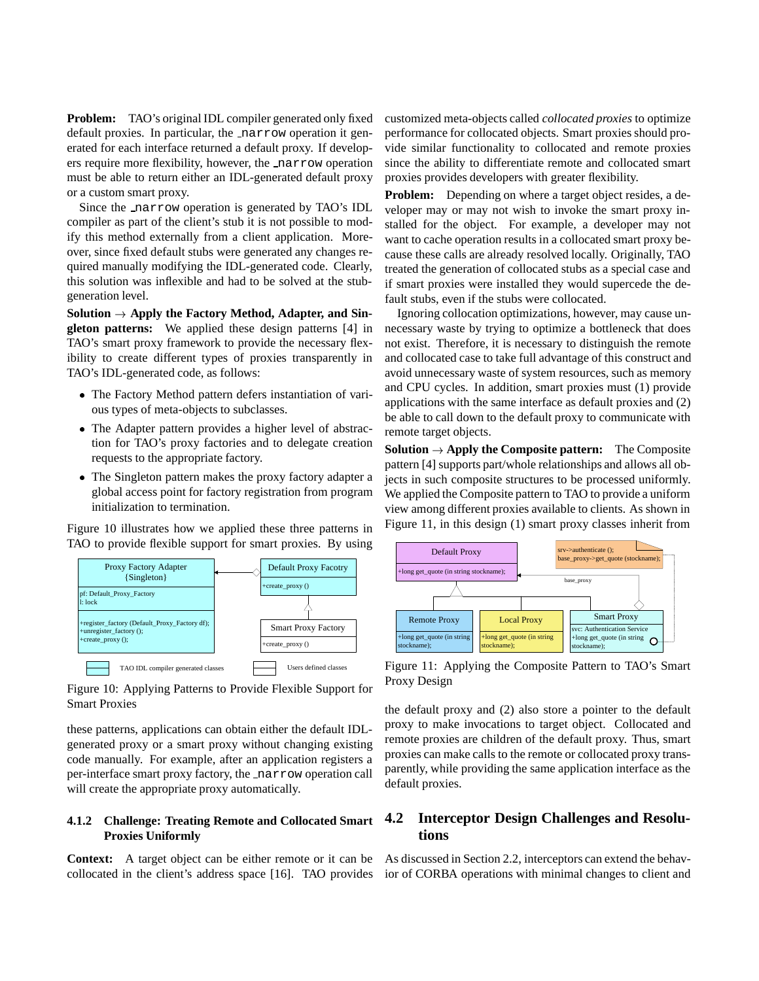**Problem:** TAO's original IDL compiler generated only fixed default proxies. In particular, the narrow operation it generated for each interface returned a default proxy. If developers require more flexibility, however, the narrow operation must be able to return either an IDL-generated default proxy or a custom smart proxy.

Since the narrow operation is generated by TAO's IDL compiler as part of the client's stub it is not possible to modify this method externally from a client application. Moreover, since fixed default stubs were generated any changes required manually modifying the IDL-generated code. Clearly, this solution was inflexible and had to be solved at the stubgeneration level.

Solution  $\rightarrow$  Apply the Factory Method, Adapter, and Sin**gleton patterns:** We applied these design patterns [4] in TAO's smart proxy framework to provide the necessary flexibility to create different types of proxies transparently in TAO's IDL-generated code, as follows:

- The Factory Method pattern defers instantiation of various types of meta-objects to subclasses.
- The Adapter pattern provides a higher level of abstraction for TAO's proxy factories and to delegate creation requests to the appropriate factory.
- The Singleton pattern makes the proxy factory adapter a global access point for factory registration from program initialization to termination.

Figure 10 illustrates how we applied these three patterns in TAO to provide flexible support for smart proxies. By using



Figure 10: Applying Patterns to Provide Flexible Support for Smart Proxies

these patterns, applications can obtain either the default IDLgenerated proxy or a smart proxy without changing existing code manually. For example, after an application registers a per-interface smart proxy factory, the narrow operation call will create the appropriate proxy automatically.

#### **4.1.2 Challenge: Treating Remote and Collocated Smart Proxies Uniformly**

**Context:** A target object can be either remote or it can be collocated in the client's address space [16]. TAO provides customized meta-objects called *collocated proxies* to optimize performance for collocated objects. Smart proxies should provide similar functionality to collocated and remote proxies since the ability to differentiate remote and collocated smart proxies provides developers with greater flexibility.

**Problem:** Depending on where a target object resides, a developer may or may not wish to invoke the smart proxy installed for the object. For example, a developer may not want to cache operation results in a collocated smart proxy because these calls are already resolved locally. Originally, TAO treated the generation of collocated stubs as a special case and if smart proxies were installed they would supercede the default stubs, even if the stubs were collocated.

Ignoring collocation optimizations, however, may cause unnecessary waste by trying to optimize a bottleneck that does not exist. Therefore, it is necessary to distinguish the remote and collocated case to take full advantage of this construct and avoid unnecessary waste of system resources, such as memory and CPU cycles. In addition, smart proxies must (1) provide applications with the same interface as default proxies and (2) be able to call down to the default proxy to communicate with remote target objects.

**Solution**  $\rightarrow$  **Apply the Composite pattern:** The Composite pattern [4] supports part/whole relationships and allows all objects in such composite structures to be processed uniformly. We applied the Composite pattern to TAO to provide a uniform view among different proxies available to clients. As shown in Figure 11, in this design (1) smart proxy classes inherit from



Figure 11: Applying the Composite Pattern to TAO's Smart Proxy Design

the default proxy and (2) also store a pointer to the default proxy to make invocations to target object. Collocated and remote proxies are children of the default proxy. Thus, smart proxies can make calls to the remote or collocated proxy transparently, while providing the same application interface as the default proxies.

## **4.2 Interceptor Design Challenges and Resolutions**

As discussed in Section 2.2, interceptors can extend the behavior of CORBA operations with minimal changes to client and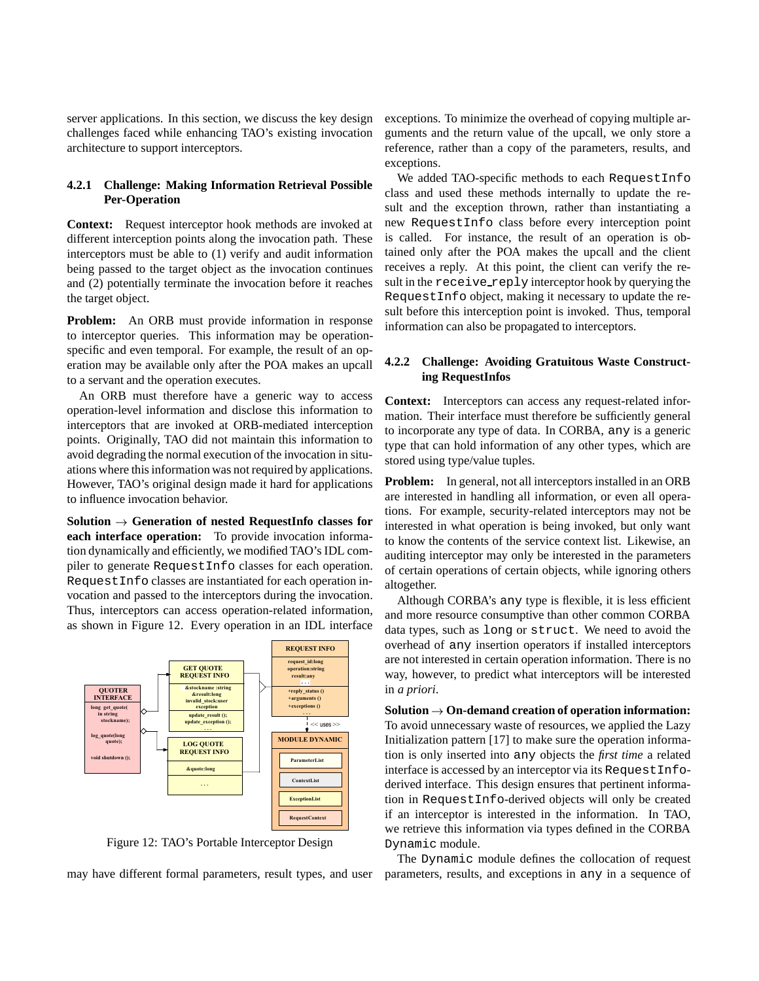server applications. In this section, we discuss the key design challenges faced while enhancing TAO's existing invocation architecture to support interceptors.

#### **4.2.1 Challenge: Making Information Retrieval Possible Per-Operation**

**Context:** Request interceptor hook methods are invoked at different interception points along the invocation path. These interceptors must be able to (1) verify and audit information being passed to the target object as the invocation continues and (2) potentially terminate the invocation before it reaches the target object.

**Problem:** An ORB must provide information in response to interceptor queries. This information may be operationspecific and even temporal. For example, the result of an operation may be available only after the POA makes an upcall to a servant and the operation executes.

An ORB must therefore have a generic way to access operation-level information and disclose this information to interceptors that are invoked at ORB-mediated interception points. Originally, TAO did not maintain this information to avoid degrading the normal execution of the invocation in situations where this information was not required by applications. However, TAO's original design made it hard for applications to influence invocation behavior.

**Solution**  $\rightarrow$  Generation of nested RequestInfo classes for **each interface operation:** To provide invocation information dynamically and efficiently, we modified TAO's IDL compiler to generate RequestInfo classes for each operation. RequestInfo classes are instantiated for each operation invocation and passed to the interceptors during the invocation. Thus, interceptors can access operation-related information, as shown in Figure 12. Every operation in an IDL interface



Figure 12: TAO's Portable Interceptor Design

may have different formal parameters, result types, and user

exceptions. To minimize the overhead of copying multiple arguments and the return value of the upcall, we only store a reference, rather than a copy of the parameters, results, and exceptions.

We added TAO-specific methods to each RequestInfo class and used these methods internally to update the result and the exception thrown, rather than instantiating a new RequestInfo class before every interception point is called. For instance, the result of an operation is obtained only after the POA makes the upcall and the client receives a reply. At this point, the client can verify the result in the receive reply interceptor hook by querying the RequestInfo object, making it necessary to update the result before this interception point is invoked. Thus, temporal information can also be propagated to interceptors.

#### **4.2.2 Challenge: Avoiding Gratuitous Waste Constructing RequestInfos**

**Context:** Interceptors can access any request-related information. Their interface must therefore be sufficiently general to incorporate any type of data. In CORBA, any is a generic type that can hold information of any other types, which are stored using type/value tuples.

**Problem:** In general, not all interceptors installed in an ORB are interested in handling all information, or even all operations. For example, security-related interceptors may not be interested in what operation is being invoked, but only want to know the contents of the service context list. Likewise, an auditing interceptor may only be interested in the parameters of certain operations of certain objects, while ignoring others altogether.

Although CORBA's any type is flexible, it is less efficient and more resource consumptive than other common CORBA data types, such as long or struct. We need to avoid the overhead of any insertion operators if installed interceptors are not interested in certain operation information. There is no way, however, to predict what interceptors will be interested in *a priori*.

 $Solution \rightarrow On$ -demand creation of operation information: To avoid unnecessary waste of resources, we applied the Lazy Initialization pattern [17] to make sure the operation information is only inserted into any objects the *first time* a related interface is accessed by an interceptor via its RequestInfoderived interface. This design ensures that pertinent information in RequestInfo-derived objects will only be created if an interceptor is interested in the information. In TAO, we retrieve this information via types defined in the CORBA Dynamic module.

The Dynamic module defines the collocation of request parameters, results, and exceptions in any in a sequence of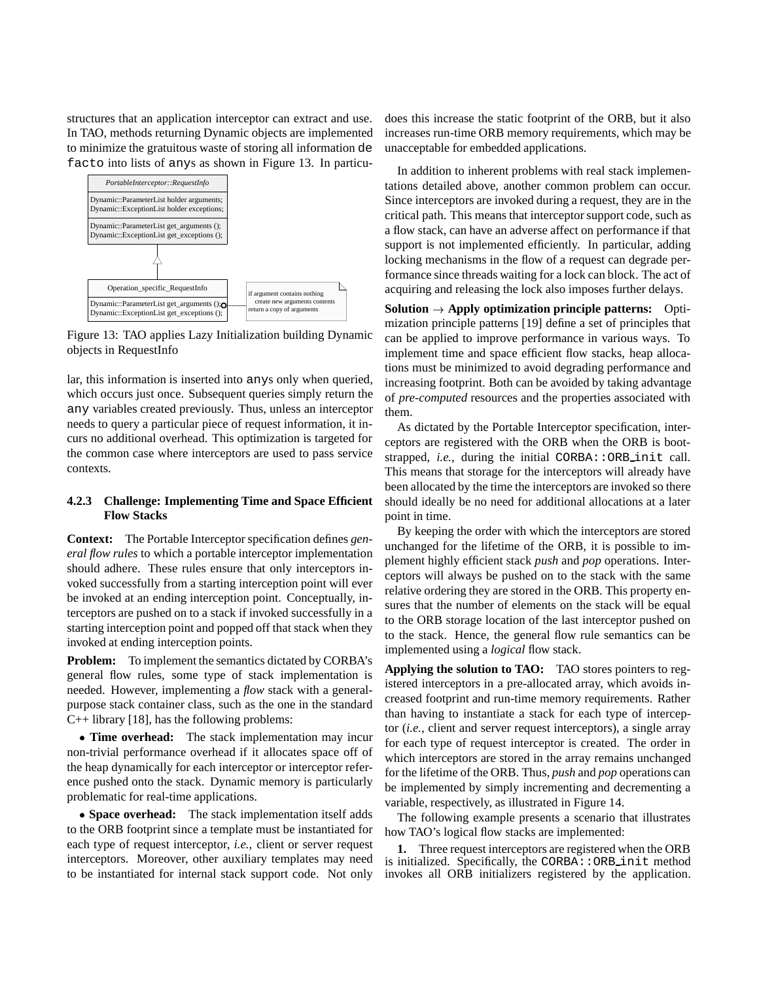structures that an application interceptor can extract and use. In TAO, methods returning Dynamic objects are implemented to minimize the gratuitous waste of storing all information de facto into lists of anys as shown in Figure 13. In particu-



Figure 13: TAO applies Lazy Initialization building Dynamic objects in RequestInfo

lar, this information is inserted into anys only when queried, which occurs just once. Subsequent queries simply return the any variables created previously. Thus, unless an interceptor needs to query a particular piece of request information, it incurs no additional overhead. This optimization is targeted for the common case where interceptors are used to pass service contexts.

#### **4.2.3 Challenge: Implementing Time and Space Efficient Flow Stacks**

**Context:** The Portable Interceptor specification defines *general flow rules* to which a portable interceptor implementation should adhere. These rules ensure that only interceptors invoked successfully from a starting interception point will ever be invoked at an ending interception point. Conceptually, interceptors are pushed on to a stack if invoked successfully in a starting interception point and popped off that stack when they invoked at ending interception points.

**Problem:** To implement the semantics dictated by CORBA's general flow rules, some type of stack implementation is needed. However, implementing a *flow* stack with a generalpurpose stack container class, such as the one in the standard  $C_{++}$  library [18], has the following problems:

 **Time overhead:** The stack implementation may incur non-trivial performance overhead if it allocates space off of the heap dynamically for each interceptor or interceptor reference pushed onto the stack. Dynamic memory is particularly problematic for real-time applications.

 **Space overhead:** The stack implementation itself adds to the ORB footprint since a template must be instantiated for each type of request interceptor, *i.e.*, client or server request interceptors. Moreover, other auxiliary templates may need to be instantiated for internal stack support code. Not only does this increase the static footprint of the ORB, but it also increases run-time ORB memory requirements, which may be unacceptable for embedded applications.

In addition to inherent problems with real stack implementations detailed above, another common problem can occur. Since interceptors are invoked during a request, they are in the critical path. This means that interceptor support code, such as a flow stack, can have an adverse affect on performance if that support is not implemented efficiently. In particular, adding locking mechanisms in the flow of a request can degrade performance since threads waiting for a lock can block. The act of acquiring and releasing the lock also imposes further delays.

**Solution**  $\rightarrow$  **Apply optimization principle patterns:** Optimization principle patterns [19] define a set of principles that can be applied to improve performance in various ways. To implement time and space efficient flow stacks, heap allocations must be minimized to avoid degrading performance and increasing footprint. Both can be avoided by taking advantage of *pre-computed* resources and the properties associated with them.

As dictated by the Portable Interceptor specification, interceptors are registered with the ORB when the ORB is bootstrapped, *i.e.*, during the initial CORBA:: ORB init call. This means that storage for the interceptors will already have been allocated by the time the interceptors are invoked so there should ideally be no need for additional allocations at a later point in time.

By keeping the order with which the interceptors are stored unchanged for the lifetime of the ORB, it is possible to implement highly efficient stack *push* and *pop* operations. Interceptors will always be pushed on to the stack with the same relative ordering they are stored in the ORB. This property ensures that the number of elements on the stack will be equal to the ORB storage location of the last interceptor pushed on to the stack. Hence, the general flow rule semantics can be implemented using a *logical* flow stack.

**Applying the solution to TAO:** TAO stores pointers to registered interceptors in a pre-allocated array, which avoids increased footprint and run-time memory requirements. Rather than having to instantiate a stack for each type of interceptor (*i.e.*, client and server request interceptors), a single array for each type of request interceptor is created. The order in which interceptors are stored in the array remains unchanged for the lifetime of the ORB. Thus, *push* and *pop* operations can be implemented by simply incrementing and decrementing a variable, respectively, as illustrated in Figure 14.

The following example presents a scenario that illustrates how TAO's logical flow stacks are implemented:

**1.** Three request interceptors are registered when the ORB is initialized. Specifically, the CORBA::ORB init method invokes all ORB initializers registered by the application.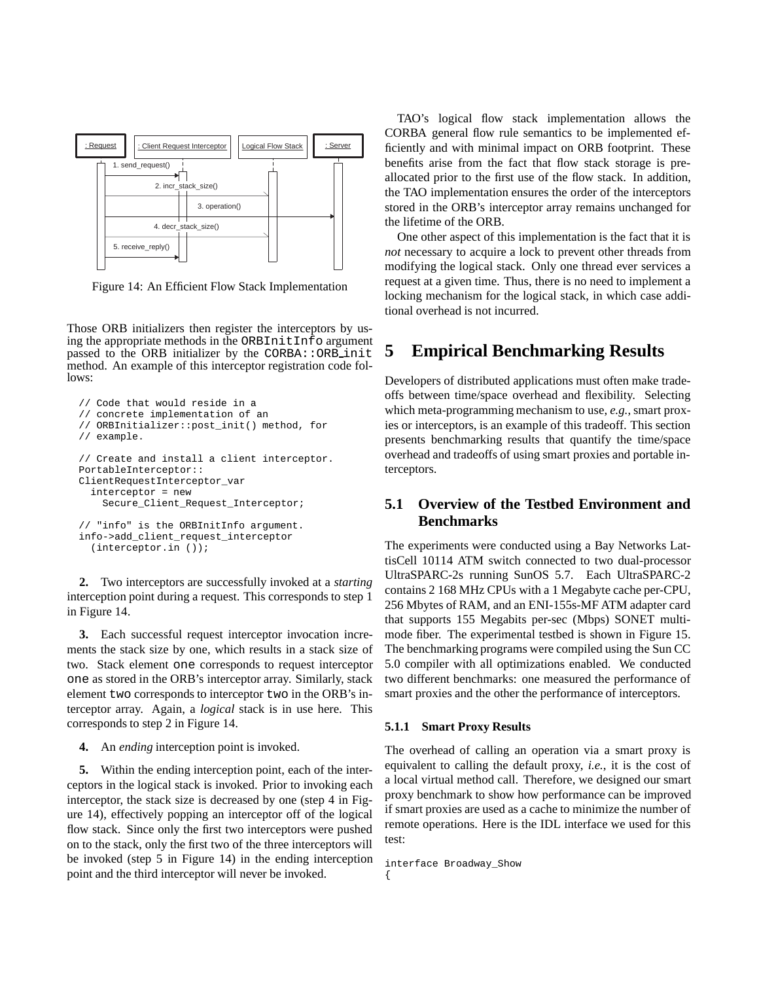

Figure 14: An Efficient Flow Stack Implementation

Those ORB initializers then register the interceptors by using the appropriate methods in the ORBInitInfo argument passed to the ORB initializer by the CORBA::ORB init method. An example of this interceptor registration code follows:

```
// Code that would reside in a
// concrete implementation of an
// ORBInitializer::post_init() method, for
// example.
// Create and install a client interceptor.
PortableInterceptor::
ClientRequestInterceptor_var
  interceptor = new
    Secure_Client_Request_Interceptor;
// "info" is the ORBInitInfo argument.
info->add_client_request_interceptor
```
(interceptor.in ());

**2.** Two interceptors are successfully invoked at a *starting* interception point during a request. This corresponds to step 1 in Figure 14.

**3.** Each successful request interceptor invocation increments the stack size by one, which results in a stack size of two. Stack element one corresponds to request interceptor one as stored in the ORB's interceptor array. Similarly, stack element two corresponds to interceptor two in the ORB's interceptor array. Again, a *logical* stack is in use here. This corresponds to step 2 in Figure 14.

**4.** An *ending* interception point is invoked.

**5.** Within the ending interception point, each of the interceptors in the logical stack is invoked. Prior to invoking each interceptor, the stack size is decreased by one (step 4 in Figure 14), effectively popping an interceptor off of the logical flow stack. Since only the first two interceptors were pushed on to the stack, only the first two of the three interceptors will be invoked (step 5 in Figure 14) in the ending interception point and the third interceptor will never be invoked.

TAO's logical flow stack implementation allows the CORBA general flow rule semantics to be implemented efficiently and with minimal impact on ORB footprint. These benefits arise from the fact that flow stack storage is preallocated prior to the first use of the flow stack. In addition, the TAO implementation ensures the order of the interceptors stored in the ORB's interceptor array remains unchanged for the lifetime of the ORB.

One other aspect of this implementation is the fact that it is *not* necessary to acquire a lock to prevent other threads from modifying the logical stack. Only one thread ever services a request at a given time. Thus, there is no need to implement a locking mechanism for the logical stack, in which case additional overhead is not incurred.

# **5 Empirical Benchmarking Results**

Developers of distributed applications must often make tradeoffs between time/space overhead and flexibility. Selecting which meta-programming mechanism to use, *e.g.*, smart proxies or interceptors, is an example of this tradeoff. This section presents benchmarking results that quantify the time/space overhead and tradeoffs of using smart proxies and portable interceptors.

## **5.1 Overview of the Testbed Environment and Benchmarks**

The experiments were conducted using a Bay Networks LattisCell 10114 ATM switch connected to two dual-processor UltraSPARC-2s running SunOS 5.7. Each UltraSPARC-2 contains 2 168 MHz CPUs with a 1 Megabyte cache per-CPU, 256 Mbytes of RAM, and an ENI-155s-MF ATM adapter card that supports 155 Megabits per-sec (Mbps) SONET multimode fiber. The experimental testbed is shown in Figure 15. The benchmarking programs were compiled using the Sun CC 5.0 compiler with all optimizations enabled. We conducted two different benchmarks: one measured the performance of smart proxies and the other the performance of interceptors.

#### **5.1.1 Smart Proxy Results**

The overhead of calling an operation via a smart proxy is equivalent to calling the default proxy, *i.e.*, it is the cost of a local virtual method call. Therefore, we designed our smart proxy benchmark to show how performance can be improved if smart proxies are used as a cache to minimize the number of remote operations. Here is the IDL interface we used for this test:

interface Broadway\_Show {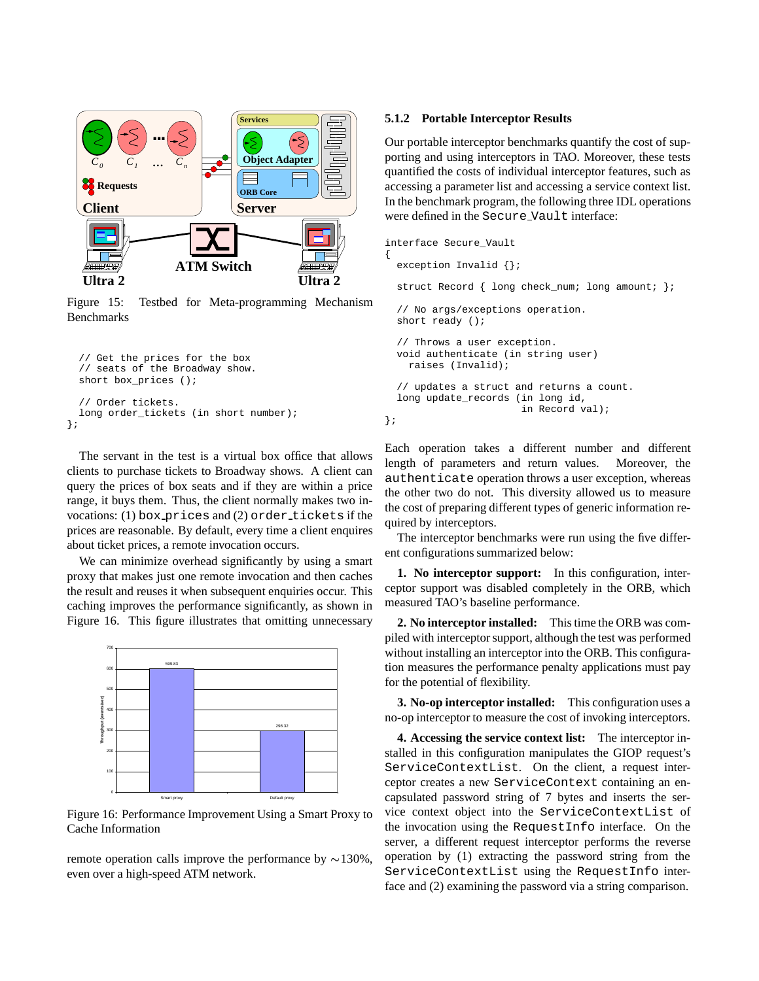

Figure 15: Testbed for Meta-programming Mechanism Benchmarks

```
// Get the prices for the box
  // seats of the Broadway show.
  short box_prices ();
  // Order tickets.
  long order_tickets (in short number);
};
```
The servant in the test is a virtual box office that allows clients to purchase tickets to Broadway shows. A client can query the prices of box seats and if they are within a price range, it buys them. Thus, the client normally makes two invocations: (1) box prices and (2) order tickets if the prices are reasonable. By default, every time a client enquires about ticket prices, a remote invocation occurs.

We can minimize overhead significantly by using a smart proxy that makes just one remote invocation and then caches the result and reuses it when subsequent enquiries occur. This caching improves the performance significantly, as shown in Figure 16. This figure illustrates that omitting unnecessary



Figure 16: Performance Improvement Using a Smart Proxy to Cache Information

remote operation calls improve the performance by  $\sim$ 130%, even over a high-speed ATM network.

#### **5.1.2 Portable Interceptor Results**

Our portable interceptor benchmarks quantify the cost of supporting and using interceptors in TAO. Moreover, these tests quantified the costs of individual interceptor features, such as accessing a parameter list and accessing a service context list. In the benchmark program, the following three IDL operations were defined in the Secure Vault interface:

```
interface Secure_Vault
{
  exception Invalid {};
  struct Record { long check_num; long amount; };
  // No args/exceptions operation.
  short ready ();
  // Throws a user exception.
  void authenticate (in string user)
    raises (Invalid);
  // updates a struct and returns a count.
  long update_records (in long id,
                       in Record val);
};
```
Each operation takes a different number and different length of parameters and return values. Moreover, the authenticate operation throws a user exception, whereas the other two do not. This diversity allowed us to measure the cost of preparing different types of generic information required by interceptors.

The interceptor benchmarks were run using the five different configurations summarized below:

**1. No interceptor support:** In this configuration, interceptor support was disabled completely in the ORB, which measured TAO's baseline performance.

**2. No interceptor installed:** This time the ORB was compiled with interceptor support, although the test was performed without installing an interceptor into the ORB. This configuration measures the performance penalty applications must pay for the potential of flexibility.

**3. No-op interceptor installed:** This configuration uses a no-op interceptor to measure the cost of invoking interceptors.

**4. Accessing the service context list:** The interceptor installed in this configuration manipulates the GIOP request's ServiceContextList. On the client, a request interceptor creates a new ServiceContext containing an encapsulated password string of 7 bytes and inserts the service context object into the ServiceContextList of the invocation using the RequestInfo interface. On the server, a different request interceptor performs the reverse operation by (1) extracting the password string from the ServiceContextList using the RequestInfo interface and (2) examining the password via a string comparison.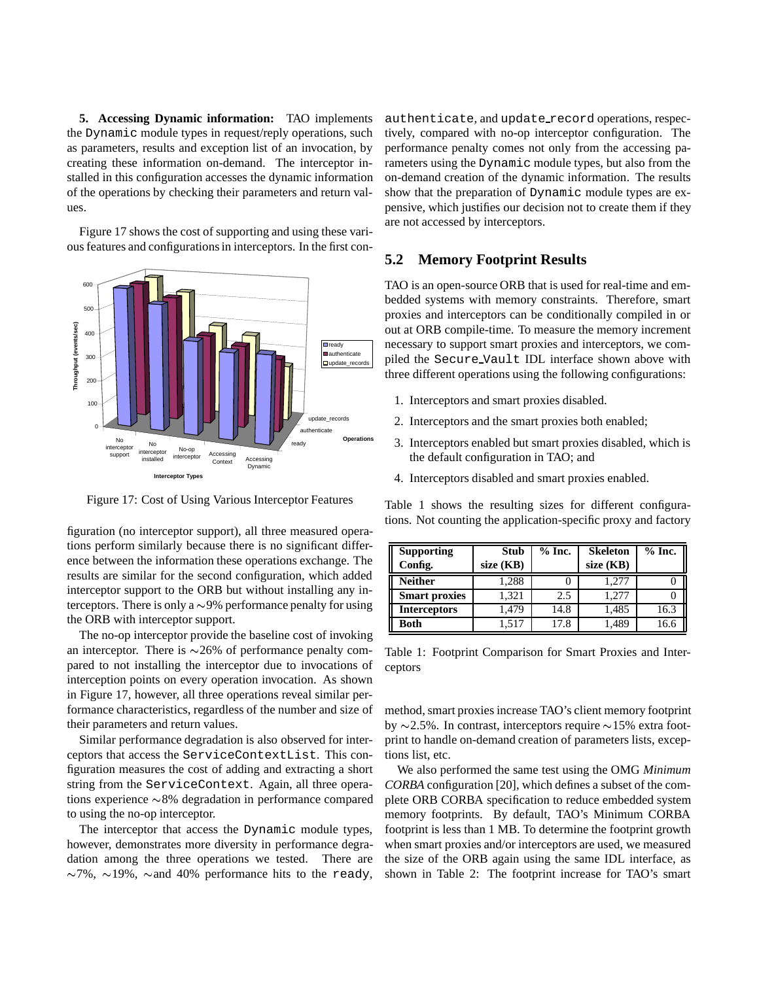**5. Accessing Dynamic information:** TAO implements the Dynamic module types in request/reply operations, such as parameters, results and exception list of an invocation, by creating these information on-demand. The interceptor installed in this configuration accesses the dynamic information of the operations by checking their parameters and return values.

Figure 17 shows the cost of supporting and using these various features and configurations in interceptors. In the first con-



Figure 17: Cost of Using Various Interceptor Features

figuration (no interceptor support), all three measured operations perform similarly because there is no significant difference between the information these operations exchange. The results are similar for the second configuration, which added interceptor support to the ORB but without installing any interceptors. There is only a  $\sim$ 9% performance penalty for using the ORB with interceptor support.

The no-op interceptor provide the baseline cost of invoking an interceptor. There is  $\sim$ 26% of performance penalty compared to not installing the interceptor due to invocations of interception points on every operation invocation. As shown in Figure 17, however, all three operations reveal similar performance characteristics, regardless of the number and size of their parameters and return values.

Similar performance degradation is also observed for interceptors that access the ServiceContextList. This configuration measures the cost of adding and extracting a short string from the ServiceContext. Again, all three operations experience  $\sim 8\%$  degradation in performance compared to using the no-op interceptor.

The interceptor that access the Dynamic module types, however, demonstrates more diversity in performance degradation among the three operations we tested. There are  $\sim$ 7%,  $\sim$ 19%,  $\sim$  and 40% performance hits to the ready, authenticate, and update\_record operations, respectively, compared with no-op interceptor configuration. The performance penalty comes not only from the accessing parameters using the Dynamic module types, but also from the on-demand creation of the dynamic information. The results show that the preparation of Dynamic module types are expensive, which justifies our decision not to create them if they are not accessed by interceptors.

## **5.2 Memory Footprint Results**

TAO is an open-source ORB that is used for real-time and embedded systems with memory constraints. Therefore, smart proxies and interceptors can be conditionally compiled in or out at ORB compile-time. To measure the memory increment necessary to support smart proxies and interceptors, we compiled the Secure Vault IDL interface shown above with three different operations using the following configurations:

- 1. Interceptors and smart proxies disabled.
- 2. Interceptors and the smart proxies both enabled;
- 3. Interceptors enabled but smart proxies disabled, which is the default configuration in TAO; and
- 4. Interceptors disabled and smart proxies enabled.

Table 1 shows the resulting sizes for different configurations. Not counting the application-specific proxy and factory

| <b>Supporting</b><br>Config. | <b>Stub</b><br>size (KB) | $%$ Inc. | <b>Skeleton</b><br>size (KB) | $%$ Inc. |
|------------------------------|--------------------------|----------|------------------------------|----------|
| Neither                      | 1.288                    |          | 1.277                        |          |
| <b>Smart proxies</b>         | 1,321                    | 2.5      | 1.277                        |          |
| <b>Interceptors</b>          | 1.479                    | 14.8     | 1,485                        | 16.3     |
| Both                         | 1,517                    | 17.8     | 1,489                        | 16.6     |

Table 1: Footprint Comparison for Smart Proxies and Interceptors

method, smart proxies increase TAO's client memory footprint by  $\sim$ 2.5%. In contrast, interceptors require  $\sim$ 15% extra footprint to handle on-demand creation of parameters lists, exceptions list, etc.

We also performed the same test using the OMG *Minimum CORBA* configuration [20], which defines a subset of the complete ORB CORBA specification to reduce embedded system memory footprints. By default, TAO's Minimum CORBA footprint is less than 1 MB. To determine the footprint growth when smart proxies and/or interceptors are used, we measured the size of the ORB again using the same IDL interface, as shown in Table 2: The footprint increase for TAO's smart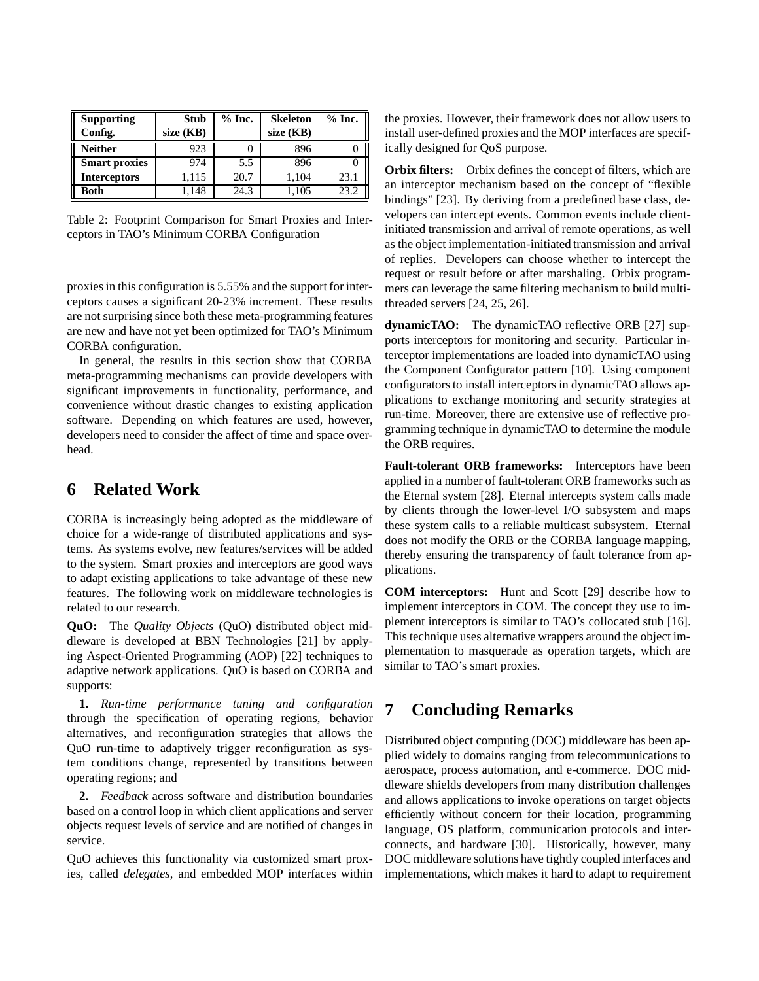| <b>Supporting</b><br>Config. | <b>Stub</b><br>size (KB) | $%$ Inc. | <b>Skeleton</b><br>size (KB) | $%$ Inc. |
|------------------------------|--------------------------|----------|------------------------------|----------|
| <b>Neither</b>               | 923                      |          | 896                          |          |
| <b>Smart proxies</b>         | 974                      | 5.5      | 896                          |          |
| <b>Interceptors</b>          | 1.115                    | 20.7     | 1,104                        | 23.1     |
| <b>Both</b>                  | 1.148                    | 24.3     | 1,105                        | 23.2     |

Table 2: Footprint Comparison for Smart Proxies and Interceptors in TAO's Minimum CORBA Configuration

proxies in this configuration is 5.55% and the support for interceptors causes a significant 20-23% increment. These results are not surprising since both these meta-programming features are new and have not yet been optimized for TAO's Minimum CORBA configuration.

In general, the results in this section show that CORBA meta-programming mechanisms can provide developers with significant improvements in functionality, performance, and convenience without drastic changes to existing application software. Depending on which features are used, however, developers need to consider the affect of time and space overhead.

## **6 Related Work**

CORBA is increasingly being adopted as the middleware of choice for a wide-range of distributed applications and systems. As systems evolve, new features/services will be added to the system. Smart proxies and interceptors are good ways to adapt existing applications to take advantage of these new features. The following work on middleware technologies is related to our research.

**QuO:** The *Quality Objects* (QuO) distributed object middleware is developed at BBN Technologies [21] by applying Aspect-Oriented Programming (AOP) [22] techniques to adaptive network applications. QuO is based on CORBA and supports:

**1.** *Run-time performance tuning and configuration* through the specification of operating regions, behavior alternatives, and reconfiguration strategies that allows the QuO run-time to adaptively trigger reconfiguration as system conditions change, represented by transitions between operating regions; and

**2.** *Feedback* across software and distribution boundaries based on a control loop in which client applications and server objects request levels of service and are notified of changes in service.

QuO achieves this functionality via customized smart proxies, called *delegates*, and embedded MOP interfaces within the proxies. However, their framework does not allow users to install user-defined proxies and the MOP interfaces are specifically designed for QoS purpose.

**Orbix filters:** Orbix defines the concept of filters, which are an interceptor mechanism based on the concept of "flexible bindings" [23]. By deriving from a predefined base class, developers can intercept events. Common events include clientinitiated transmission and arrival of remote operations, as well as the object implementation-initiated transmission and arrival of replies. Developers can choose whether to intercept the request or result before or after marshaling. Orbix programmers can leverage the same filtering mechanism to build multithreaded servers [24, 25, 26].

**dynamicTAO:** The dynamicTAO reflective ORB [27] supports interceptors for monitoring and security. Particular interceptor implementations are loaded into dynamicTAO using the Component Configurator pattern [10]. Using component configurators to install interceptors in dynamicTAO allows applications to exchange monitoring and security strategies at run-time. Moreover, there are extensive use of reflective programming technique in dynamicTAO to determine the module the ORB requires.

**Fault-tolerant ORB frameworks:** Interceptors have been applied in a number of fault-tolerant ORB frameworks such as the Eternal system [28]. Eternal intercepts system calls made by clients through the lower-level I/O subsystem and maps these system calls to a reliable multicast subsystem. Eternal does not modify the ORB or the CORBA language mapping, thereby ensuring the transparency of fault tolerance from applications.

**COM interceptors:** Hunt and Scott [29] describe how to implement interceptors in COM. The concept they use to implement interceptors is similar to TAO's collocated stub [16]. This technique uses alternative wrappers around the object implementation to masquerade as operation targets, which are similar to TAO's smart proxies.

## **7 Concluding Remarks**

Distributed object computing (DOC) middleware has been applied widely to domains ranging from telecommunications to aerospace, process automation, and e-commerce. DOC middleware shields developers from many distribution challenges and allows applications to invoke operations on target objects efficiently without concern for their location, programming language, OS platform, communication protocols and interconnects, and hardware [30]. Historically, however, many DOC middleware solutions have tightly coupled interfaces and implementations, which makes it hard to adapt to requirement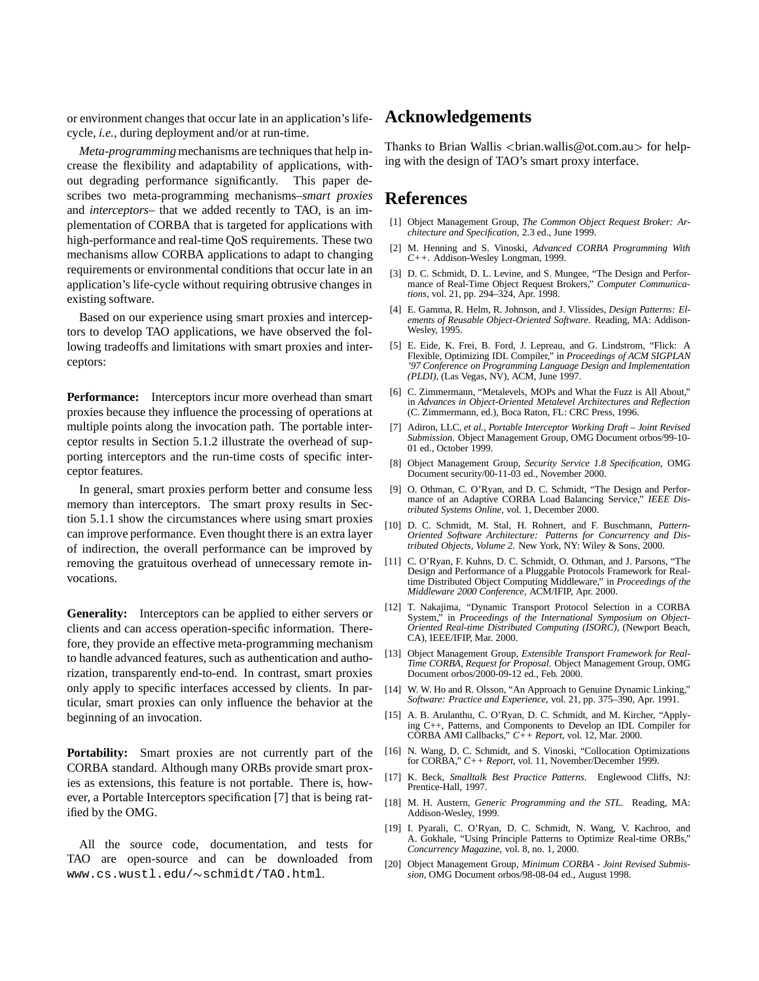or environment changes that occur late in an application's lifecycle, *i.e.*, during deployment and/or at run-time.

*Meta-programming* mechanisms are techniques that help increase the flexibility and adaptability of applications, without degrading performance significantly. This paper describes two meta-programming mechanisms–*smart proxies* and *interceptors*– that we added recently to TAO, is an implementation of CORBA that is targeted for applications with high-performance and real-time QoS requirements. These two mechanisms allow CORBA applications to adapt to changing requirements or environmental conditions that occur late in an application's life-cycle without requiring obtrusive changes in existing software.

Based on our experience using smart proxies and interceptors to develop TAO applications, we have observed the following tradeoffs and limitations with smart proxies and interceptors:

**Performance:** Interceptors incur more overhead than smart proxies because they influence the processing of operations at multiple points along the invocation path. The portable interceptor results in Section 5.1.2 illustrate the overhead of supporting interceptors and the run-time costs of specific interceptor features.

In general, smart proxies perform better and consume less memory than interceptors. The smart proxy results in Section 5.1.1 show the circumstances where using smart proxies can improve performance. Even thought there is an extra layer of indirection, the overall performance can be improved by removing the gratuitous overhead of unnecessary remote invocations.

**Generality:** Interceptors can be applied to either servers or clients and can access operation-specific information. Therefore, they provide an effective meta-programming mechanism to handle advanced features, such as authentication and authorization, transparently end-to-end. In contrast, smart proxies only apply to specific interfaces accessed by clients. In particular, smart proxies can only influence the behavior at the beginning of an invocation.

**Portability:** Smart proxies are not currently part of the CORBA standard. Although many ORBs provide smart proxies as extensions, this feature is not portable. There is, however, a Portable Interceptors specification [7] that is being ratified by the OMG.

All the source code, documentation, and tests for TAO are open-source and can be downloaded from www.cs.wustl.edu/~schmidt/TAO.html.

## **Acknowledgements**

Thanks to Brian Wallis  $\langle \text{brain} \rangle \cong \langle \text{bottom} \rangle$  for helping with the design of TAO's smart proxy interface.

## **References**

- [1] Object Management Group, *The Common Object Request Broker: Architecture and Specification*, 2.3 ed., June 1999.
- [2] M. Henning and S. Vinoski, *Advanced CORBA Programming With C++*. Addison-Wesley Longman, 1999.
- [3] D. C. Schmidt, D. L. Levine, and S. Mungee, "The Design and Performance of Real-Time Object Request Brokers," *Computer Communications*, vol. 21, pp. 294–324, Apr. 1998.
- [4] E. Gamma, R. Helm, R. Johnson, and J. Vlissides, *Design Patterns: Elements of Reusable Object-Oriented Software*. Reading, MA: Addison-Wesley, 1995.
- [5] E. Eide, K. Frei, B. Ford, J. Lepreau, and G. Lindstrom, "Flick: A Flexible, Optimizing IDL Compiler," in *Proceedings of ACM SIGPLAN '97 Conference on Programming Language Design and Implementation (PLDI)*, (Las Vegas, NV), ACM, June 1997.
- [6] C. Zimmermann, "Metalevels, MOPs and What the Fuzz is All About," in *Advances in Object-Oriented Metalevel Architectures and Reflection* (C. Zimmermann, ed.), Boca Raton, FL: CRC Press, 1996.
- [7] Adiron, LLC, *et al.*, *Portable Interceptor Working Draft Joint Revised Submission*. Object Management Group, OMG Document orbos/99-10- 01 ed., October 1999.
- [8] Object Management Group, *Security Service 1.8 Specification*, OMG Document security/00-11-03 ed., November 2000.
- [9] O. Othman, C. O'Ryan, and D. C. Schmidt, "The Design and Performance of an Adaptive CORBA Load Balancing Service," *IEEE Distributed Systems Online*, vol. 1, December 2000.
- [10] D. C. Schmidt, M. Stal, H. Rohnert, and F. Buschmann, *Pattern-Oriented Software Architecture: Patterns for Concurrency and Distributed Objects, Volume 2*. New York, NY: Wiley & Sons, 2000.
- [11] C. O'Ryan, F. Kuhns, D. C. Schmidt, O. Othman, and J. Parsons, "The Design and Performance of a Pluggable Protocols Framework for Realtime Distributed Object Computing Middleware," in *Proceedings of the Middleware 2000 Conference*, ACM/IFIP, Apr. 2000.
- [12] T. Nakajima, "Dynamic Transport Protocol Selection in a CORBA System," in *Proceedings of the International Symposium on Object-Oriented Real-time Distributed Computing (ISORC)*, (Newport Beach, CA), IEEE/IFIP, Mar. 2000.
- [13] Object Management Group, *Extensible Transport Framework for Real-Time CORBA, Request for Proposal*. Object Management Group, OMG Document orbos/2000-09-12 ed., Feb. 2000.
- [14] W. W. Ho and R. Olsson, "An Approach to Genuine Dynamic Linking," *Software: Practice and Experience*, vol. 21, pp. 375–390, Apr. 1991.
- [15] A. B. Arulanthu, C. O'Ryan, D. C. Schmidt, and M. Kircher, "Applying C++, Patterns, and Components to Develop an IDL Compiler for CORBA AMI Callbacks," *C++ Report*, vol. 12, Mar. 2000.
- [16] N. Wang, D. C. Schmidt, and S. Vinoski, "Collocation Optimizations for CORBA," *C++ Report*, vol. 11, November/December 1999.
- [17] K. Beck, *Smalltalk Best Practice Patterns*. Englewood Cliffs, NJ: Prentice-Hall, 1997.
- [18] M. H. Austern, *Generic Programming and the STL*. Reading, MA: Addison-Wesley, 1999.
- [19] I. Pyarali, C. O'Ryan, D. C. Schmidt, N. Wang, V. Kachroo, and A. Gokhale, "Using Principle Patterns to Optimize Real-time ORBs," *Concurrency Magazine*, vol. 8, no. 1, 2000.
- [20] Object Management Group, *Minimum CORBA Joint Revised Submission*, OMG Document orbos/98-08-04 ed., August 1998.